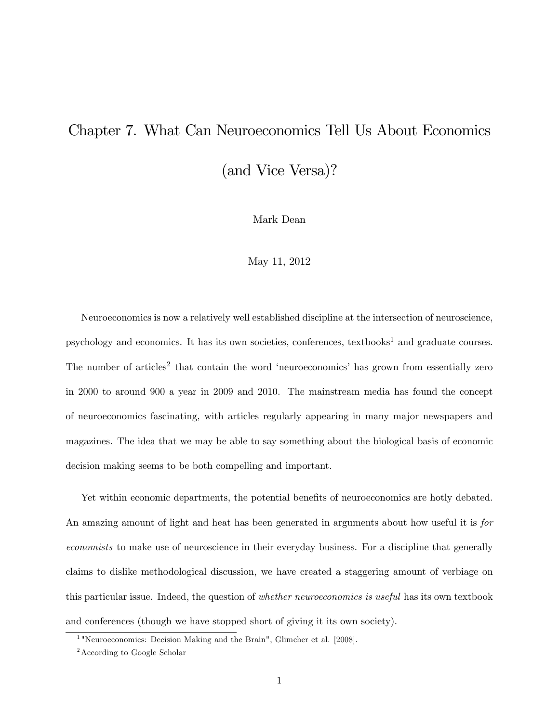# Chapter 7. What Can Neuroeconomics Tell Us About Economics

(and Vice Versa)?

Mark Dean

#### May 11, 2012

Neuroeconomics is now a relatively well established discipline at the intersection of neuroscience, psychology and economics. It has its own societies, conferences, textbooks<sup>1</sup> and graduate courses. The number of articles<sup>2</sup> that contain the word 'neuroeconomics' has grown from essentially zero in 2000 to around 900 a year in 2009 and 2010. The mainstream media has found the concept of neuroeconomics fascinating, with articles regularly appearing in many major newspapers and magazines. The idea that we may be able to say something about the biological basis of economic decision making seems to be both compelling and important.

Yet within economic departments, the potential benefits of neuroeconomics are hotly debated. An amazing amount of light and heat has been generated in arguments about how useful it is for economists to make use of neuroscience in their everyday business. For a discipline that generally claims to dislike methodological discussion, we have created a staggering amount of verbiage on this particular issue. Indeed, the question of whether neuroeconomics is useful has its own textbook and conferences (though we have stopped short of giving it its own society).

<sup>&</sup>lt;sup>1</sup> "Neuroeconomics: Decision Making and the Brain", Glimcher et al. [2008].

<sup>2</sup>According to Google Scholar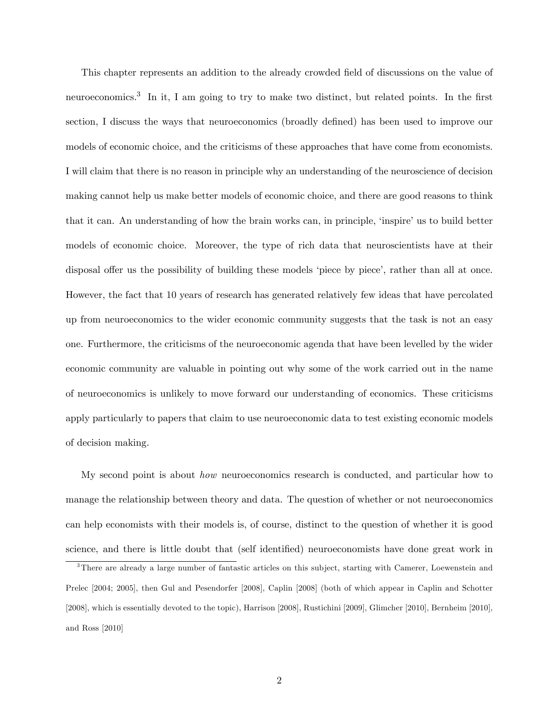This chapter represents an addition to the already crowded field of discussions on the value of neuroeconomics.<sup>3</sup> In it, I am going to try to make two distinct, but related points. In the first section, I discuss the ways that neuroeconomics (broadly defined) has been used to improve our models of economic choice, and the criticisms of these approaches that have come from economists. I will claim that there is no reason in principle why an understanding of the neuroscience of decision making cannot help us make better models of economic choice, and there are good reasons to think that it can. An understanding of how the brain works can, in principle, 'inspire' us to build better models of economic choice. Moreover, the type of rich data that neuroscientists have at their disposal offer us the possibility of building these models 'piece by piece', rather than all at once. However, the fact that 10 years of research has generated relatively few ideas that have percolated up from neuroeconomics to the wider economic community suggests that the task is not an easy one. Furthermore, the criticisms of the neuroeconomic agenda that have been levelled by the wider economic community are valuable in pointing out why some of the work carried out in the name of neuroeconomics is unlikely to move forward our understanding of economics. These criticisms apply particularly to papers that claim to use neuroeconomic data to test existing economic models of decision making.

My second point is about how neuroeconomics research is conducted, and particular how to manage the relationship between theory and data. The question of whether or not neuroeconomics can help economists with their models is, of course, distinct to the question of whether it is good science, and there is little doubt that (self identified) neuroeconomists have done great work in

<sup>3</sup>There are already a large number of fantastic articles on this subject, starting with Camerer, Loewenstein and Prelec [2004; 2005], then Gul and Pesendorfer [2008], Caplin [2008] (both of which appear in Caplin and Schotter [2008], which is essentially devoted to the topic), Harrison [2008], Rustichini [2009], Glimcher [2010], Bernheim [2010], and Ross [2010]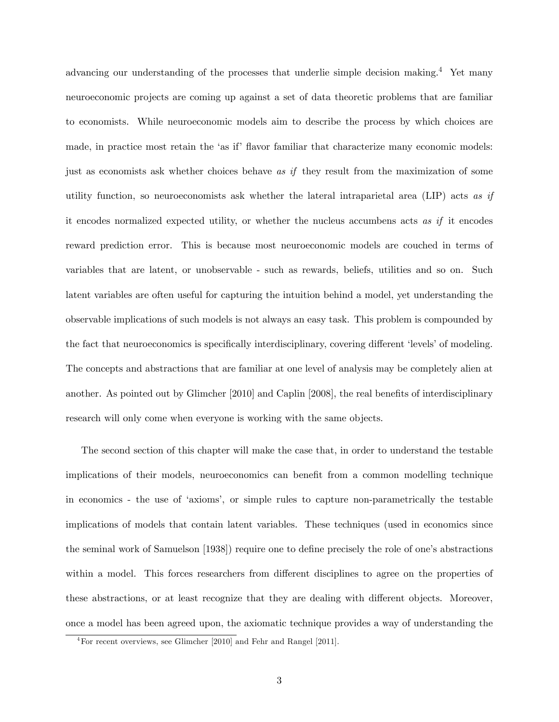advancing our understanding of the processes that underlie simple decision making.<sup>4</sup> Yet many neuroeconomic projects are coming up against a set of data theoretic problems that are familiar to economists. While neuroeconomic models aim to describe the process by which choices are made, in practice most retain the 'as if' flavor familiar that characterize many economic models: just as economists ask whether choices behave as if they result from the maximization of some utility function, so neuroeconomists ask whether the lateral intraparietal area (LIP) acts as if it encodes normalized expected utility, or whether the nucleus accumbens acts as if it encodes reward prediction error. This is because most neuroeconomic models are couched in terms of variables that are latent, or unobservable - such as rewards, beliefs, utilities and so on. Such latent variables are often useful for capturing the intuition behind a model, yet understanding the observable implications of such models is not always an easy task. This problem is compounded by the fact that neuroeconomics is specifically interdisciplinary, covering different 'levels' of modeling. The concepts and abstractions that are familiar at one level of analysis may be completely alien at another. As pointed out by Glimcher [2010] and Caplin [2008], the real benefits of interdisciplinary research will only come when everyone is working with the same objects.

The second section of this chapter will make the case that, in order to understand the testable implications of their models, neuroeconomics can benefit from a common modelling technique in economics - the use of ëaxiomsí, or simple rules to capture non-parametrically the testable implications of models that contain latent variables. These techniques (used in economics since the seminal work of Samuelson [1938]) require one to define precisely the role of one's abstractions within a model. This forces researchers from different disciplines to agree on the properties of these abstractions, or at least recognize that they are dealing with different objects. Moreover, once a model has been agreed upon, the axiomatic technique provides a way of understanding the

<sup>4</sup>For recent overviews, see Glimcher [2010] and Fehr and Rangel [2011].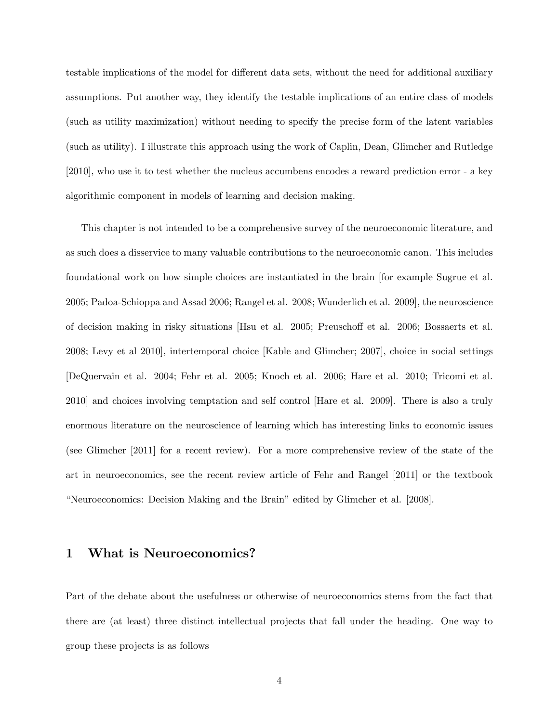testable implications of the model for different data sets, without the need for additional auxiliary assumptions. Put another way, they identify the testable implications of an entire class of models (such as utility maximization) without needing to specify the precise form of the latent variables (such as utility). I illustrate this approach using the work of Caplin, Dean, Glimcher and Rutledge [2010], who use it to test whether the nucleus accumbens encodes a reward prediction error - a key algorithmic component in models of learning and decision making.

This chapter is not intended to be a comprehensive survey of the neuroeconomic literature, and as such does a disservice to many valuable contributions to the neuroeconomic canon. This includes foundational work on how simple choices are instantiated in the brain [for example Sugrue et al. 2005; Padoa-Schioppa and Assad 2006; Rangel et al. 2008; Wunderlich et al. 2009], the neuroscience of decision making in risky situations [Hsu et al. 2005; Preuschoff et al. 2006; Bossaerts et al. 2008; Levy et al 2010], intertemporal choice [Kable and Glimcher; 2007], choice in social settings [DeQuervain et al. 2004; Fehr et al. 2005; Knoch et al. 2006; Hare et al. 2010; Tricomi et al. 2010] and choices involving temptation and self control [Hare et al. 2009]. There is also a truly enormous literature on the neuroscience of learning which has interesting links to economic issues (see Glimcher [2011] for a recent review). For a more comprehensive review of the state of the art in neuroeconomics, see the recent review article of Fehr and Rangel [2011] or the textbook ìNeuroeconomics: Decision Making and the Brainî edited by Glimcher et al. [2008].

# 1 What is Neuroeconomics?

Part of the debate about the usefulness or otherwise of neuroeconomics stems from the fact that there are (at least) three distinct intellectual projects that fall under the heading. One way to group these projects is as follows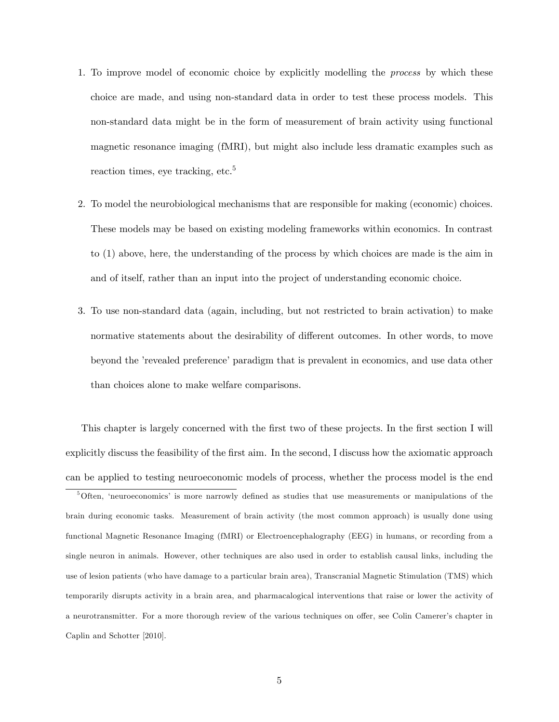- 1. To improve model of economic choice by explicitly modelling the process by which these choice are made, and using non-standard data in order to test these process models. This non-standard data might be in the form of measurement of brain activity using functional magnetic resonance imaging (fMRI), but might also include less dramatic examples such as reaction times, eye tracking, etc.<sup>5</sup>
- 2. To model the neurobiological mechanisms that are responsible for making (economic) choices. These models may be based on existing modeling frameworks within economics. In contrast to (1) above, here, the understanding of the process by which choices are made is the aim in and of itself, rather than an input into the project of understanding economic choice.
- 3. To use non-standard data (again, including, but not restricted to brain activation) to make normative statements about the desirability of different outcomes. In other words, to move beyond the 'revealed preference' paradigm that is prevalent in economics, and use data other than choices alone to make welfare comparisons.

This chapter is largely concerned with the first two of these projects. In the first section I will explicitly discuss the feasibility of the first aim. In the second, I discuss how the axiomatic approach can be applied to testing neuroeconomic models of process, whether the process model is the end  $5$ Often, 'neuroeconomics' is more narrowly defined as studies that use measurements or manipulations of the brain during economic tasks. Measurement of brain activity (the most common approach) is usually done using functional Magnetic Resonance Imaging (fMRI) or Electroencephalography (EEG) in humans, or recording from a

use of lesion patients (who have damage to a particular brain area), Transcranial Magnetic Stimulation (TMS) which temporarily disrupts activity in a brain area, and pharmacalogical interventions that raise or lower the activity of a neurotransmitter. For a more thorough review of the various techniques on offer, see Colin Camerer's chapter in Caplin and Schotter [2010].

single neuron in animals. However, other techniques are also used in order to establish causal links, including the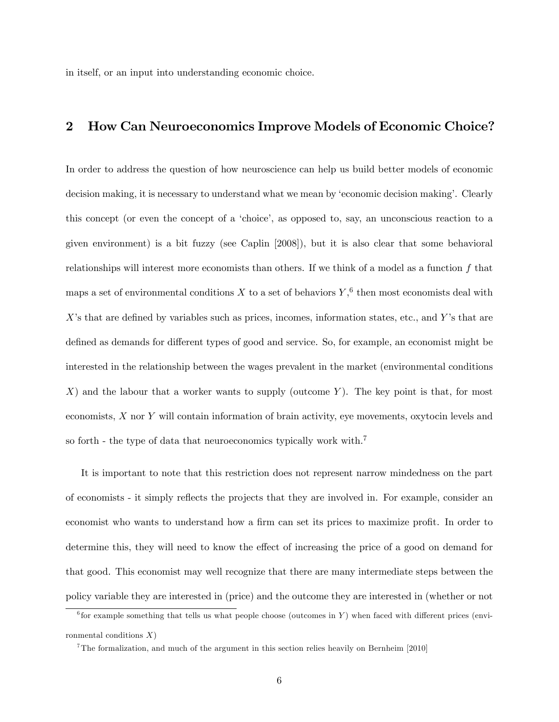in itself, or an input into understanding economic choice.

## 2 How Can Neuroeconomics Improve Models of Economic Choice?

In order to address the question of how neuroscience can help us build better models of economic decision making, it is necessary to understand what we mean by 'economic decision making'. Clearly this concept (or even the concept of a 'choice', as opposed to, say, an unconscious reaction to a given environment) is a bit fuzzy (see Caplin [2008]), but it is also clear that some behavioral relationships will interest more economists than others. If we think of a model as a function  $f$  that maps a set of environmental conditions X to a set of behaviors  $Y,^6$  then most economists deal with  $X$ 's that are defined by variables such as prices, incomes, information states, etc., and Y's that are defined as demands for different types of good and service. So, for example, an economist might be interested in the relationship between the wages prevalent in the market (environmental conditions  $X$ ) and the labour that a worker wants to supply (outcome Y). The key point is that, for most economists, X nor Y will contain information of brain activity, eye movements, oxytocin levels and so forth - the type of data that neuroeconomics typically work with.<sup>7</sup>

It is important to note that this restriction does not represent narrow mindedness on the part of economists - it simply reflects the projects that they are involved in. For example, consider an economist who wants to understand how a firm can set its prices to maximize profit. In order to determine this, they will need to know the effect of increasing the price of a good on demand for that good. This economist may well recognize that there are many intermediate steps between the policy variable they are interested in (price) and the outcome they are interested in (whether or not

 $^6$  for example something that tells us what people choose (outcomes in Y) when faced with different prices (environmental conditions  $X$ )

<sup>&</sup>lt;sup>7</sup>The formalization, and much of the argument in this section relies heavily on Bernheim [2010]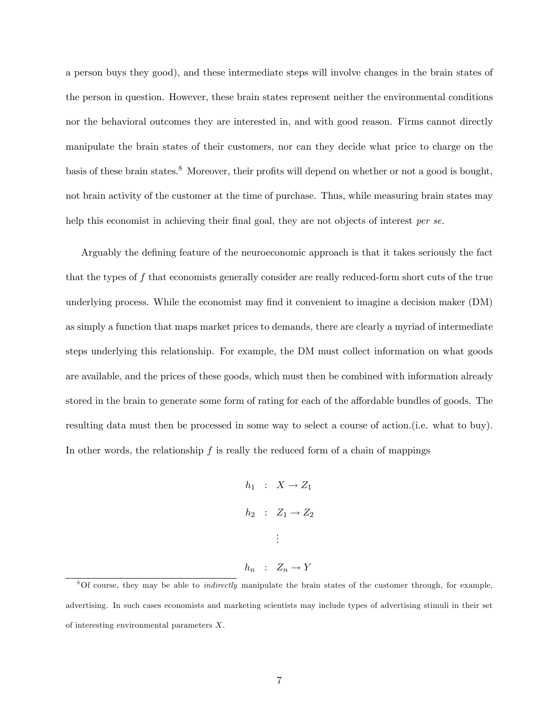a person buys they good), and these intermediate steps will involve changes in the brain states of the person in question. However, these brain states represent neither the environmental conditions nor the behavioral outcomes they are interested in, and with good reason. Firms cannot directly manipulate the brain states of their customers, nor can they decide what price to charge on the basis of these brain states.<sup>8</sup> Moreover, their profits will depend on whether or not a good is bought, not brain activity of the customer at the time of purchase. Thus, while measuring brain states may help this economist in achieving their final goal, they are not objects of interest per se.

Arguably the defining feature of the neuroeconomic approach is that it takes seriously the fact that the types of f that economists generally consider are really reduced-form short cuts of the true underlying process. While the economist may find it convenient to imagine a decision maker (DM) as simply a function that maps market prices to demands, there are clearly a myriad of intermediate steps underlying this relationship. For example, the DM must collect information on what goods are available, and the prices of these goods, which must then be combined with information already stored in the brain to generate some form of rating for each of the affordable bundles of goods. The resulting data must then be processed in some way to select a course of action.(i.e. what to buy). In other words, the relationship  $f$  is really the reduced form of a chain of mappings

$$
h_1 : X \to Z_1
$$
  

$$
h_2 : Z_1 \to Z_2
$$
  

$$
\vdots
$$
  

$$
h_n : Z_n \to Y
$$

 $8$ Of course, they may be able to *indirectly* manipulate the brain states of the customer through, for example, advertising. In such cases economists and marketing scientists may include types of advertising stimuli in their set of interesting environmental parameters X.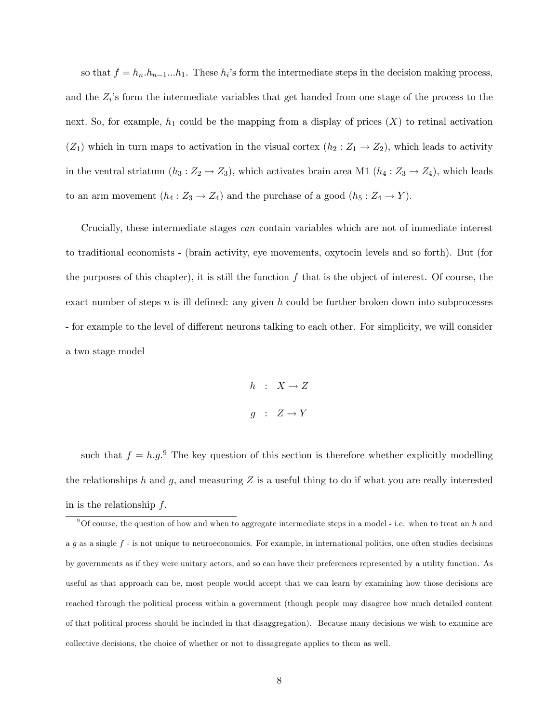so that  $f = h_n \cdot h_{n-1} \cdot \ldots \cdot h_1$ . These  $h_i$ 's form the intermediate steps in the decision making process, and the  $Z_i$ 's form the intermediate variables that get handed from one stage of the process to the next. So, for example,  $h_1$  could be the mapping from a display of prices  $(X)$  to retinal activation  $(Z_1)$  which in turn maps to activation in the visual cortex  $(h_2 : Z_1 \rightarrow Z_2)$ , which leads to activity in the ventral striatum  $(h_3 : Z_2 \to Z_3)$ , which activates brain area M1  $(h_4 : Z_3 \to Z_4)$ , which leads to an arm movement  $(h_4: Z_3 \to Z_4)$  and the purchase of a good  $(h_5: Z_4 \to Y)$ .

Crucially, these intermediate stages can contain variables which are not of immediate interest to traditional economists - (brain activity, eye movements, oxytocin levels and so forth). But (for the purposes of this chapter), it is still the function  $f$  that is the object of interest. Of course, the exact number of steps  $n$  is ill defined: any given  $h$  could be further broken down into subprocesses - for example to the level of different neurons talking to each other. For simplicity, we will consider a two stage model

$$
\begin{array}{rcl} h & : & X \rightarrow Z \\ & \\ g & : & Z \rightarrow Y \end{array}
$$

such that  $f = h.g.^9$  The key question of this section is therefore whether explicitly modelling the relationships h and g, and measuring  $Z$  is a useful thing to do if what you are really interested in is the relationship  $f$ .

 $9^9$ Of course, the question of how and when to aggregate intermediate steps in a model - i.e. when to treat an h and a g as a single  $f$  - is not unique to neuroeconomics. For example, in international politics, one often studies decisions by governments as if they were unitary actors, and so can have their preferences represented by a utility function. As useful as that approach can be, most people would accept that we can learn by examining how those decisions are reached through the political process within a government (though people may disagree how much detailed content of that political process should be included in that disaggregation). Because many decisions we wish to examine are collective decisions, the choice of whether or not to dissagregate applies to them as well.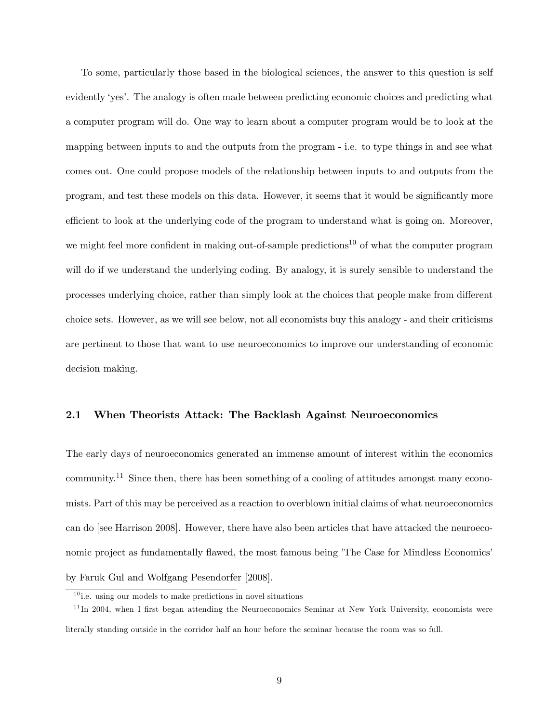To some, particularly those based in the biological sciences, the answer to this question is self evidently 'yes'. The analogy is often made between predicting economic choices and predicting what a computer program will do. One way to learn about a computer program would be to look at the mapping between inputs to and the outputs from the program - i.e. to type things in and see what comes out. One could propose models of the relationship between inputs to and outputs from the program, and test these models on this data. However, it seems that it would be significantly more efficient to look at the underlying code of the program to understand what is going on. Moreover, we might feel more confident in making out-of-sample predictions<sup>10</sup> of what the computer program will do if we understand the underlying coding. By analogy, it is surely sensible to understand the processes underlying choice, rather than simply look at the choices that people make from different choice sets. However, as we will see below, not all economists buy this analogy - and their criticisms are pertinent to those that want to use neuroeconomics to improve our understanding of economic decision making.

#### 2.1 When Theorists Attack: The Backlash Against Neuroeconomics

The early days of neuroeconomics generated an immense amount of interest within the economics community.<sup>11</sup> Since then, there has been something of a cooling of attitudes amongst many economists. Part of this may be perceived as a reaction to overblown initial claims of what neuroeconomics can do [see Harrison 2008]. However, there have also been articles that have attacked the neuroeconomic project as fundamentally flawed, the most famous being 'The Case for Mindless Economics' by Faruk Gul and Wolfgang Pesendorfer [2008].

 $10$  i.e. using our models to make predictions in novel situations

 $11$ In 2004, when I first began attending the Neuroeconomics Seminar at New York University, economists were literally standing outside in the corridor half an hour before the seminar because the room was so full.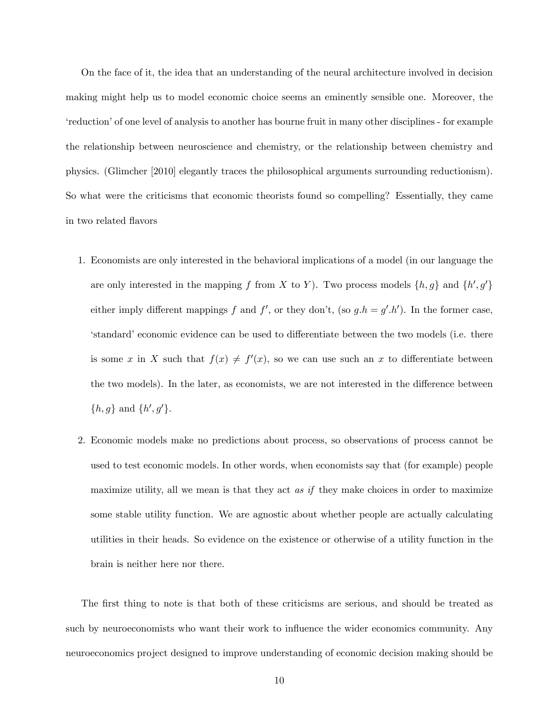On the face of it, the idea that an understanding of the neural architecture involved in decision making might help us to model economic choice seems an eminently sensible one. Moreover, the ëreductioníof one level of analysis to another has bourne fruit in many other disciplines - for example the relationship between neuroscience and chemistry, or the relationship between chemistry and physics. (Glimcher [2010] elegantly traces the philosophical arguments surrounding reductionism). So what were the criticisms that economic theorists found so compelling? Essentially, they came in two related flavors

- 1. Economists are only interested in the behavioral implications of a model (in our language the are only interested in the mapping f from X to Y). Two process models  $\{h, g\}$  and  $\{h', g'\}$ either imply different mappings f and f', or they don't, (so  $g.h = g'.h'$ ). In the former case, 'standard' economic evidence can be used to differentiate between the two models (i.e. there is some x in X such that  $f(x) \neq f'(x)$ , so we can use such an x to differentiate between the two models). In the later, as economists, we are not interested in the difference between  $\{h,g\}$  and  $\{h',g'\}.$
- 2. Economic models make no predictions about process, so observations of process cannot be used to test economic models. In other words, when economists say that (for example) people maximize utility, all we mean is that they act as if they make choices in order to maximize some stable utility function. We are agnostic about whether people are actually calculating utilities in their heads. So evidence on the existence or otherwise of a utility function in the brain is neither here nor there.

The first thing to note is that both of these criticisms are serious, and should be treated as such by neuroeconomists who want their work to influence the wider economics community. Any neuroeconomics project designed to improve understanding of economic decision making should be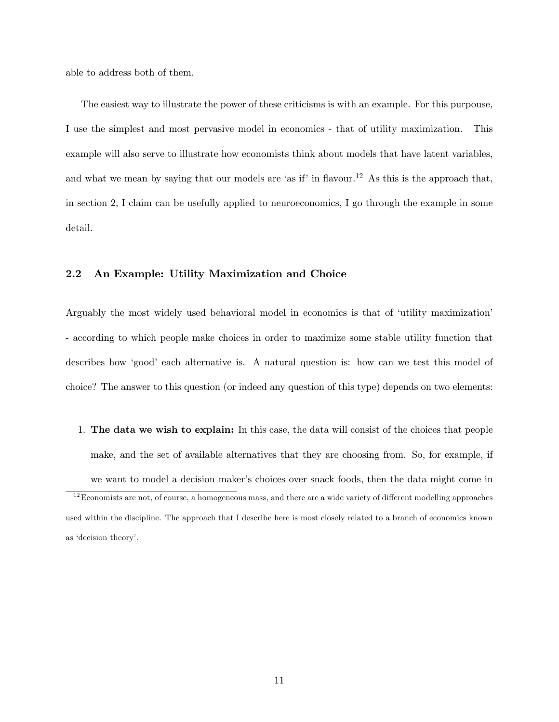able to address both of them.

The easiest way to illustrate the power of these criticisms is with an example. For this purpouse, I use the simplest and most pervasive model in economics - that of utility maximization. This example will also serve to illustrate how economists think about models that have latent variables, and what we mean by saying that our models are 'as if' in flavour.<sup>12</sup> As this is the approach that, in section 2, I claim can be usefully applied to neuroeconomics, I go through the example in some detail.

#### 2.2 An Example: Utility Maximization and Choice

Arguably the most widely used behavioral model in economics is that of 'utility maximization' - according to which people make choices in order to maximize some stable utility function that describes how 'good' each alternative is. A natural question is: how can we test this model of choice? The answer to this question (or indeed any question of this type) depends on two elements:

1. The data we wish to explain: In this case, the data will consist of the choices that people make, and the set of available alternatives that they are choosing from. So, for example, if we want to model a decision maker's choices over snack foods, then the data might come in

 $12$  Economists are not, of course, a homogeneous mass, and there are a wide variety of different modelling approaches used within the discipline. The approach that I describe here is most closely related to a branch of economics known as 'decision theory'.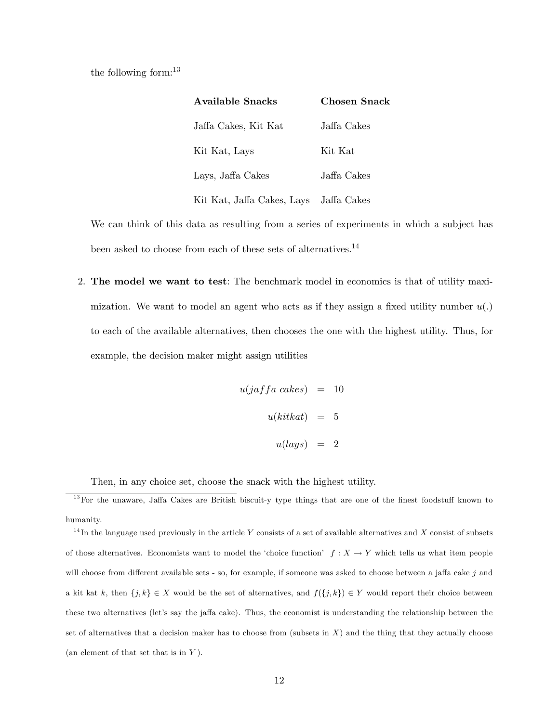the following form:<sup>13</sup>

| <b>Available Snacks</b>                | <b>Chosen Snack</b> |
|----------------------------------------|---------------------|
| Jaffa Cakes, Kit Kat                   | Jaffa Cakes         |
| Kit Kat, Lays                          | Kit Kat             |
| Lays, Jaffa Cakes                      | Jaffa Cakes         |
| Kit Kat, Jaffa Cakes, Lays Jaffa Cakes |                     |

We can think of this data as resulting from a series of experiments in which a subject has been asked to choose from each of these sets of alternatives.<sup>14</sup>

2. The model we want to test: The benchmark model in economics is that of utility maximization. We want to model an agent who acts as if they assign a fixed utility number  $u(.)$ to each of the available alternatives, then chooses the one with the highest utility. Thus, for example, the decision maker might assign utilities

> $u(jaffa\;cales) = 10$  $u(kitkat) = 5$  $u(lays) = 2$

Then, in any choice set, choose the snack with the highest utility.

<sup>&</sup>lt;sup>13</sup>For the unaware, Jaffa Cakes are British biscuit-y type things that are one of the finest foodstuff known to humanity.

 $14$ In the language used previously in the article Y consists of a set of available alternatives and X consist of subsets of those alternatives. Economists want to model the 'choice function'  $f : X \to Y$  which tells us what item people will choose from different available sets - so, for example, if someone was asked to choose between a jaffa cake  $j$  and a kit kat k, then  $\{j, k\} \in X$  would be the set of alternatives, and  $f(\{j, k\}) \in Y$  would report their choice between these two alternatives (let's say the jaffa cake). Thus, the economist is understanding the relationship between the set of alternatives that a decision maker has to choose from (subsets in  $X$ ) and the thing that they actually choose (an element of that set that is in  $Y$ ).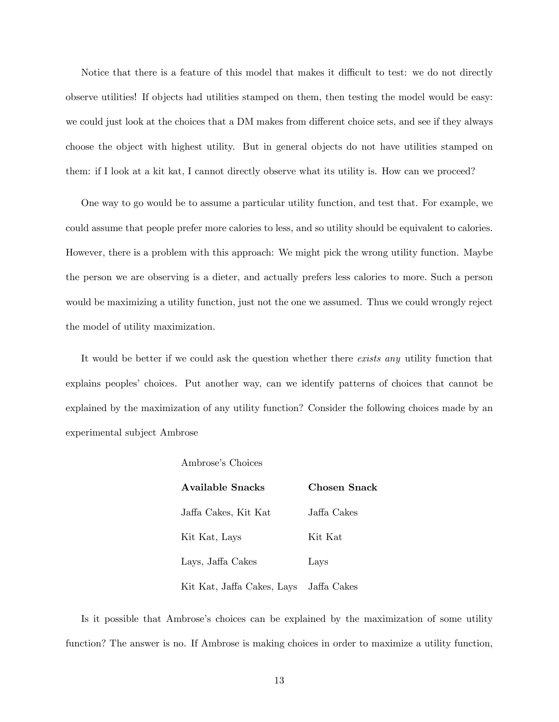Notice that there is a feature of this model that makes it difficult to test: we do not directly observe utilities! If objects had utilities stamped on them, then testing the model would be easy: we could just look at the choices that a DM makes from different choice sets, and see if they always choose the object with highest utility. But in general objects do not have utilities stamped on them: if I look at a kit kat, I cannot directly observe what its utility is. How can we proceed?

One way to go would be to assume a particular utility function, and test that. For example, we could assume that people prefer more calories to less, and so utility should be equivalent to calories. However, there is a problem with this approach: We might pick the wrong utility function. Maybe the person we are observing is a dieter, and actually prefers less calories to more. Such a person would be maximizing a utility function, just not the one we assumed. Thus we could wrongly reject the model of utility maximization.

It would be better if we could ask the question whether there exists any utility function that explains peoples' choices. Put another way, can we identify patterns of choices that cannot be explained by the maximization of any utility function? Consider the following choices made by an experimental subject Ambrose

| <b>Available Snacks</b>                | Chosen Snack |
|----------------------------------------|--------------|
| Jaffa Cakes, Kit Kat                   | Jaffa Cakes  |
| Kit Kat, Lays                          | Kit Kat      |
| Lays, Jaffa Cakes                      | Lays         |
| Kit Kat, Jaffa Cakes, Lays Jaffa Cakes |              |

Ambrose's Choices

Is it possible that Ambrose's choices can be explained by the maximization of some utility function? The answer is no. If Ambrose is making choices in order to maximize a utility function,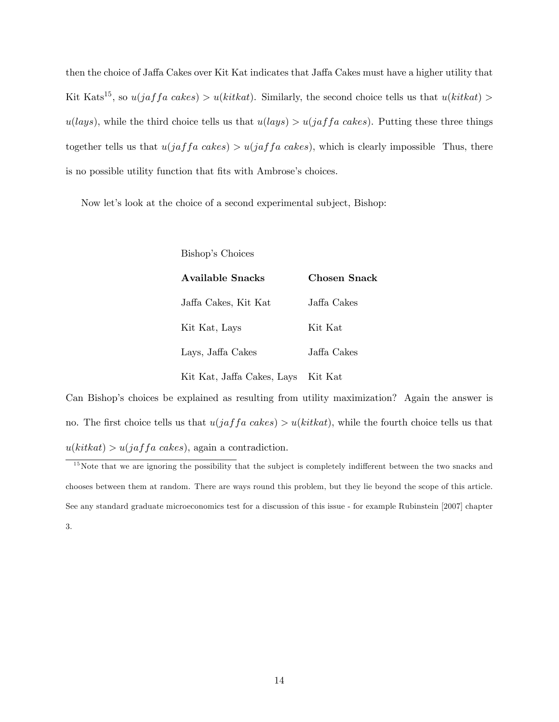then the choice of Jaffa Cakes over Kit Kat indicates that Jaffa Cakes must have a higher utility that Kit Kats<sup>15</sup>, so  $u(jaffa \; cases) > u(kitkat)$ . Similarly, the second choice tells us that  $u(kitkat) >$  $u(lays)$ , while the third choice tells us that  $u(lays) > u(jaffa \; cases)$ . Putting these three things together tells us that  $u(jaffa\;cakes) > u(jaffa\;cakes)$ , which is clearly impossible Thus, there is no possible utility function that fits with Ambrose's choices.

Now let's look at the choice of a second experimental subject, Bishop:

Bishop's Choices

| Available Snacks                   | <b>Chosen Snack</b> |
|------------------------------------|---------------------|
| Jaffa Cakes, Kit Kat               | Jaffa Cakes         |
| Kit Kat, Lays                      | Kit Kat             |
| Lays, Jaffa Cakes                  | Jaffa Cakes         |
| Kit Kat, Jaffa Cakes, Lays Kit Kat |                     |

Can Bishop's choices be explained as resulting from utility maximization? Again the answer is no. The first choice tells us that  $u(jaffa \; cases) > u(kitkat)$ , while the fourth choice tells us that  $u(kitkat) > u(jaffa\;cakes)$ , again a contradiction.

 $15$ Note that we are ignoring the possibility that the subject is completely indifferent between the two snacks and chooses between them at random. There are ways round this problem, but they lie beyond the scope of this article. See any standard graduate microeconomics test for a discussion of this issue - for example Rubinstein [2007] chapter 3.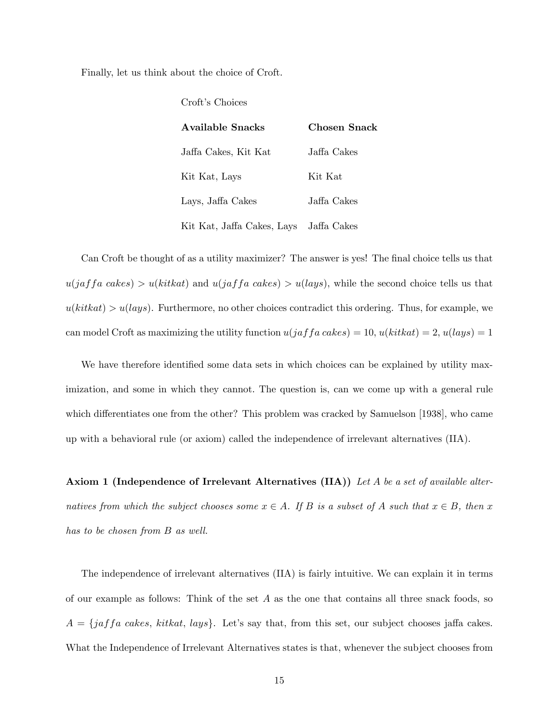Finally, let us think about the choice of Croft.

## Croft's Choices

| Available Snacks                       | <b>Chosen Snack</b> |
|----------------------------------------|---------------------|
| Jaffa Cakes, Kit Kat                   | Jaffa Cakes         |
| Kit Kat, Lays                          | Kit Kat             |
| Lays, Jaffa Cakes                      | Jaffa Cakes         |
| Kit Kat, Jaffa Cakes, Lays Jaffa Cakes |                     |

Can Croft be thought of as a utility maximizer? The answer is yes! The final choice tells us that  $u(jaffa\;cakes) > u(kitkat)$  and  $u(jaffa\;cakes) > u(lays)$ , while the second choice tells us that  $u(kitkat) > u(lays)$ . Furthermore, no other choices contradict this ordering. Thus, for example, we can model Croft as maximizing the utility function  $u(jaffa \, cases) = 10, u(kitkat) = 2, u(lays) = 1$ 

We have therefore identified some data sets in which choices can be explained by utility maximization, and some in which they cannot. The question is, can we come up with a general rule which differentiates one from the other? This problem was cracked by Samuelson [1938], who came up with a behavioral rule (or axiom) called the independence of irrelevant alternatives (IIA).

Axiom 1 (Independence of Irrelevant Alternatives (IIA)) Let A be a set of available alternatives from which the subject chooses some  $x \in A$ . If B is a subset of A such that  $x \in B$ , then x has to be chosen from B as well.

The independence of irrelevant alternatives (IIA) is fairly intuitive. We can explain it in terms of our example as follows: Think of the set  $A$  as the one that contains all three snack foods, so  $A = \{jaffa \; cases, \; kitkat, \; lays\}.$  Let's say that, from this set, our subject chooses jaffa cakes. What the Independence of Irrelevant Alternatives states is that, whenever the subject chooses from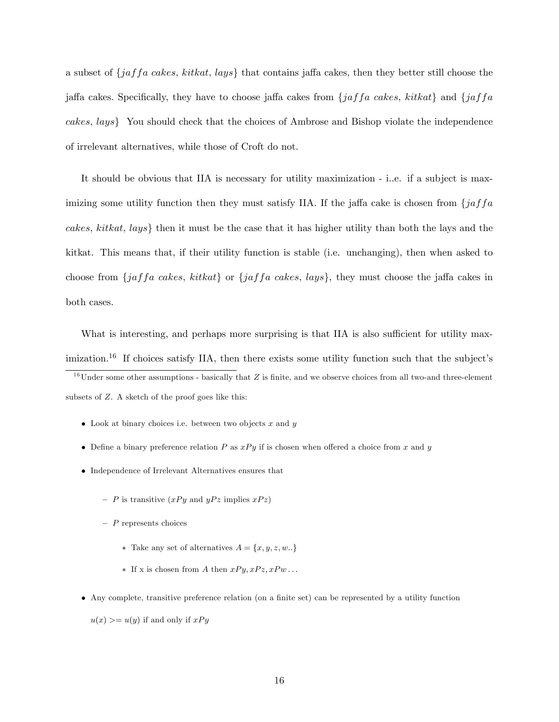a subset of  $\{jaffa \; cases, \; kitkat, \; lays\}$  that contains jaffa cakes, then they better still choose the jaffa cakes. Specifically, they have to choose jaffa cakes from  $\{jaffa\;cakes,\;kittat\}$  and  $\{jaffa\;cades\}$  $cakes, lays$  You should check that the choices of Ambrose and Bishop violate the independence of irrelevant alternatives, while those of Croft do not.

It should be obvious that IIA is necessary for utility maximization - i..e. if a subject is maximizing some utility function then they must satisfy IIA. If the jaffa cake is chosen from  $\{jaffa\}$ cakes, kitkat, lays then it must be the case that it has higher utility than both the lays and the kitkat. This means that, if their utility function is stable (i.e. unchanging), then when asked to choose from  $\{jaffa \; cases, \; kithat\}$  or  $\{jaffa \; cases, \; lays\}$ , they must choose the jaffa cakes in both cases.

What is interesting, and perhaps more surprising is that IIA is also sufficient for utility maximization.<sup>16</sup> If choices satisfy IIA, then there exists some utility function such that the subject's  $16$ Under some other assumptions - basically that Z is finite, and we observe choices from all two-and three-element

subsets of Z. A sketch of the proof goes like this:

- Look at binary choices i.e. between two objects x and  $y$
- Define a binary preference relation P as  $xPy$  if is chosen when offered a choice from x and y
- $\bullet$  Independence of Irrelevant Alternatives ensures that
	- P is transitive  $(xPy \text{ and } yPz \text{ implies } xPz)$
	- $-$  P represents choices
		- \* Take any set of alternatives  $A = \{x, y, z, w..\}$
		- $*$  If x is chosen from A then  $xPy, xPz, xPw...$
- Any complete, transitive preference relation (on a finite set) can be represented by a utility function  $u(x) >= u(y)$  if and only if  $xPy$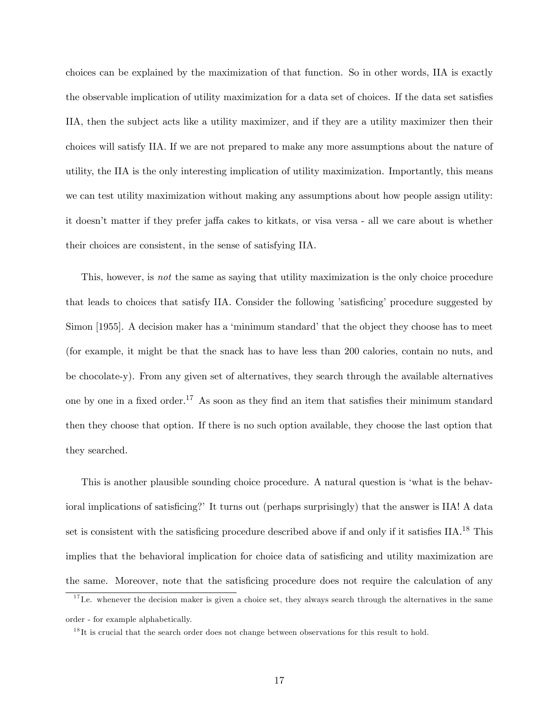choices can be explained by the maximization of that function. So in other words, IIA is exactly the observable implication of utility maximization for a data set of choices. If the data set satisfies IIA, then the subject acts like a utility maximizer, and if they are a utility maximizer then their choices will satisfy IIA. If we are not prepared to make any more assumptions about the nature of utility, the IIA is the only interesting implication of utility maximization. Importantly, this means we can test utility maximization without making any assumptions about how people assign utility: it doesn't matter if they prefer jaffa cakes to kitkats, or visa versa - all we care about is whether their choices are consistent, in the sense of satisfying IIA.

This, however, is not the same as saying that utility maximization is the only choice procedure that leads to choices that satisfy IIA. Consider the following 'satisficing' procedure suggested by Simon [1955]. A decision maker has a 'minimum standard' that the object they choose has to meet (for example, it might be that the snack has to have less than 200 calories, contain no nuts, and be chocolate-y). From any given set of alternatives, they search through the available alternatives one by one in a fixed order.<sup>17</sup> As soon as they find an item that satisfies their minimum standard then they choose that option. If there is no such option available, they choose the last option that they searched.

This is another plausible sounding choice procedure. A natural question is ëwhat is the behavioral implications of satisficing? It turns out (perhaps surprisingly) that the answer is IIA! A data set is consistent with the satisficing procedure described above if and only if it satisfies IIA.<sup>18</sup> This implies that the behavioral implication for choice data of satisficing and utility maximization are the same. Moreover, note that the satisficing procedure does not require the calculation of any

 $17$  I.e. whenever the decision maker is given a choice set, they always search through the alternatives in the same order - for example alphabetically.

 $1<sup>8</sup>$ It is crucial that the search order does not change between observations for this result to hold.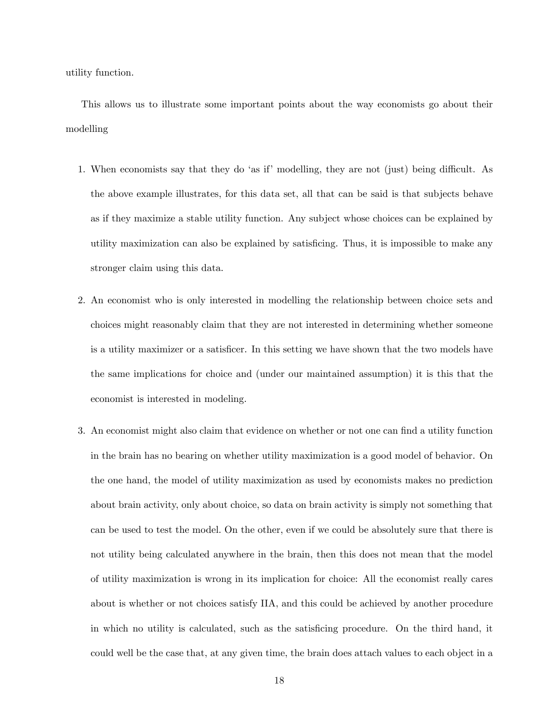utility function.

This allows us to illustrate some important points about the way economists go about their modelling

- 1. When economists say that they do 'as if' modelling, they are not (just) being difficult. As the above example illustrates, for this data set, all that can be said is that subjects behave as if they maximize a stable utility function. Any subject whose choices can be explained by utility maximization can also be explained by satisficing. Thus, it is impossible to make any stronger claim using this data.
- 2. An economist who is only interested in modelling the relationship between choice sets and choices might reasonably claim that they are not interested in determining whether someone is a utility maximizer or a satisficer. In this setting we have shown that the two models have the same implications for choice and (under our maintained assumption) it is this that the economist is interested in modeling.
- 3. An economist might also claim that evidence on whether or not one can find a utility function in the brain has no bearing on whether utility maximization is a good model of behavior. On the one hand, the model of utility maximization as used by economists makes no prediction about brain activity, only about choice, so data on brain activity is simply not something that can be used to test the model. On the other, even if we could be absolutely sure that there is not utility being calculated anywhere in the brain, then this does not mean that the model of utility maximization is wrong in its implication for choice: All the economist really cares about is whether or not choices satisfy IIA, and this could be achieved by another procedure in which no utility is calculated, such as the satisficing procedure. On the third hand, it could well be the case that, at any given time, the brain does attach values to each object in a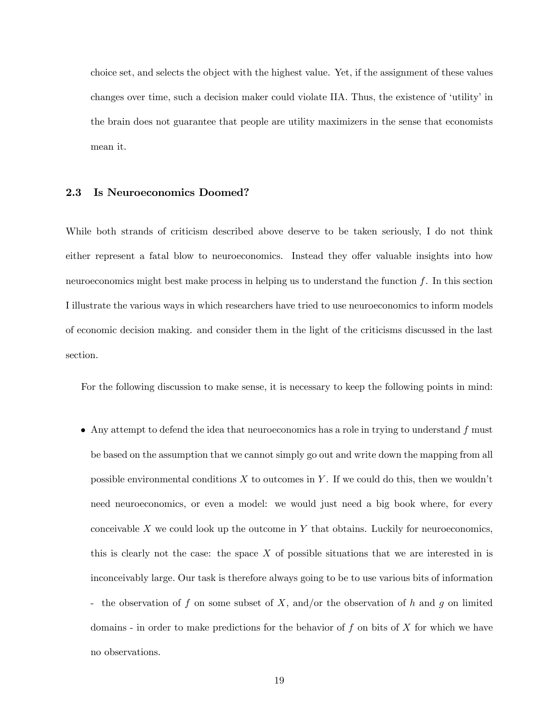choice set, and selects the object with the highest value. Yet, if the assignment of these values changes over time, such a decision maker could violate IIA. Thus, the existence of 'utility' in the brain does not guarantee that people are utility maximizers in the sense that economists mean it.

#### 2.3 Is Neuroeconomics Doomed?

While both strands of criticism described above deserve to be taken seriously, I do not think either represent a fatal blow to neuroeconomics. Instead they offer valuable insights into how neuroeconomics might best make process in helping us to understand the function  $f$ . In this section I illustrate the various ways in which researchers have tried to use neuroeconomics to inform models of economic decision making. and consider them in the light of the criticisms discussed in the last section.

For the following discussion to make sense, it is necessary to keep the following points in mind:

 $\bullet$  Any attempt to defend the idea that neuroeconomics has a role in trying to understand f must be based on the assumption that we cannot simply go out and write down the mapping from all possible environmental conditions  $X$  to outcomes in Y. If we could do this, then we wouldn't need neuroeconomics, or even a model: we would just need a big book where, for every conceivable  $X$  we could look up the outcome in  $Y$  that obtains. Luckily for neuroeconomics, this is clearly not the case: the space  $X$  of possible situations that we are interested in is inconceivably large. Our task is therefore always going to be to use various bits of information - the observation of f on some subset of X, and/or the observation of h and g on limited domains - in order to make predictions for the behavior of  $f$  on bits of  $X$  for which we have no observations.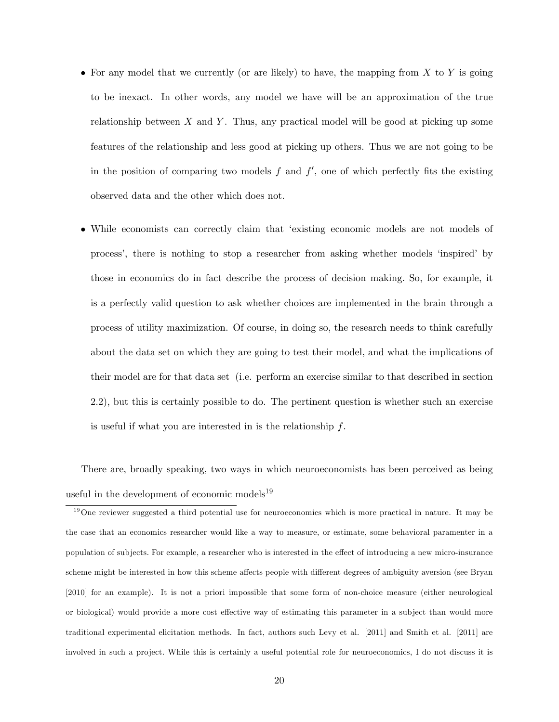- For any model that we currently (or are likely) to have, the mapping from  $X$  to  $Y$  is going to be inexact. In other words, any model we have will be an approximation of the true relationship between  $X$  and  $Y$ . Thus, any practical model will be good at picking up some features of the relationship and less good at picking up others. Thus we are not going to be in the position of comparing two models  $f$  and  $f'$ , one of which perfectly fits the existing observed data and the other which does not.
- While economists can correctly claim that ëexisting economic models are not models of process', there is nothing to stop a researcher from asking whether models 'inspired' by those in economics do in fact describe the process of decision making. So, for example, it is a perfectly valid question to ask whether choices are implemented in the brain through a process of utility maximization. Of course, in doing so, the research needs to think carefully about the data set on which they are going to test their model, and what the implications of their model are for that data set (i.e. perform an exercise similar to that described in section 2.2), but this is certainly possible to do. The pertinent question is whether such an exercise is useful if what you are interested in is the relationship  $f$ .

There are, broadly speaking, two ways in which neuroeconomists has been perceived as being useful in the development of economic models $19$ 

<sup>&</sup>lt;sup>19</sup>One reviewer suggested a third potential use for neuroeconomics which is more practical in nature. It may be the case that an economics researcher would like a way to measure, or estimate, some behavioral paramenter in a population of subjects. For example, a researcher who is interested in the effect of introducing a new micro-insurance scheme might be interested in how this scheme affects people with different degrees of ambiguity aversion (see Bryan [2010] for an example). It is not a priori impossible that some form of non-choice measure (either neurological or biological) would provide a more cost effective way of estimating this parameter in a subject than would more traditional experimental elicitation methods. In fact, authors such Levy et al. [2011] and Smith et al. [2011] are involved in such a project. While this is certainly a useful potential role for neuroeconomics, I do not discuss it is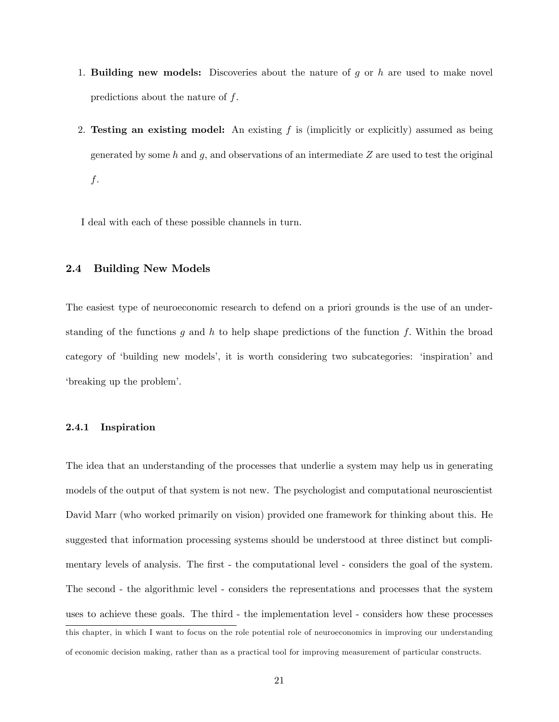- 1. **Building new models:** Discoveries about the nature of g or h are used to make novel predictions about the nature of f.
- 2. Testing an existing model: An existing  $f$  is (implicitly or explicitly) assumed as being generated by some h and  $g$ , and observations of an intermediate  $Z$  are used to test the original  $f$ .

I deal with each of these possible channels in turn.

#### 2.4 Building New Models

The easiest type of neuroeconomic research to defend on a priori grounds is the use of an understanding of the functions q and h to help shape predictions of the function f. Within the broad category of 'building new models', it is worth considering two subcategories: 'inspiration' and ëbreaking up the problemí.

#### 2.4.1 Inspiration

The idea that an understanding of the processes that underlie a system may help us in generating models of the output of that system is not new. The psychologist and computational neuroscientist David Marr (who worked primarily on vision) provided one framework for thinking about this. He suggested that information processing systems should be understood at three distinct but complimentary levels of analysis. The first - the computational level - considers the goal of the system. The second - the algorithmic level - considers the representations and processes that the system uses to achieve these goals. The third - the implementation level - considers how these processes this chapter, in which I want to focus on the role potential role of neuroeconomics in improving our understanding of economic decision making, rather than as a practical tool for improving measurement of particular constructs.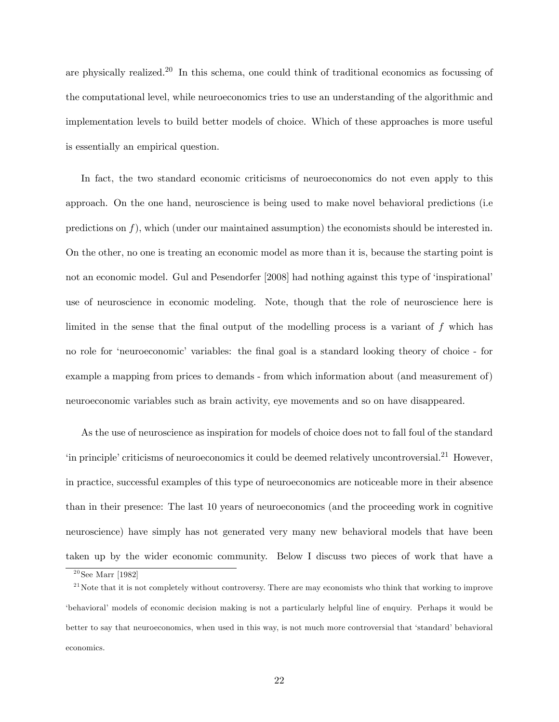are physically realized.<sup>20</sup> In this schema, one could think of traditional economics as focussing of the computational level, while neuroeconomics tries to use an understanding of the algorithmic and implementation levels to build better models of choice. Which of these approaches is more useful is essentially an empirical question.

In fact, the two standard economic criticisms of neuroeconomics do not even apply to this approach. On the one hand, neuroscience is being used to make novel behavioral predictions (i.e predictions on f), which (under our maintained assumption) the economists should be interested in. On the other, no one is treating an economic model as more than it is, because the starting point is not an economic model. Gul and Pesendorfer [2008] had nothing against this type of 'inspirational' use of neuroscience in economic modeling. Note, though that the role of neuroscience here is limited in the sense that the final output of the modelling process is a variant of  $f$  which has no role for 'neuroeconomic' variables: the final goal is a standard looking theory of choice - for example a mapping from prices to demands - from which information about (and measurement of) neuroeconomic variables such as brain activity, eye movements and so on have disappeared.

As the use of neuroscience as inspiration for models of choice does not to fall foul of the standard  $\gamma$  in principle' criticisms of neuroeconomics it could be deemed relatively uncontroversial.<sup>21</sup> However, in practice, successful examples of this type of neuroeconomics are noticeable more in their absence than in their presence: The last 10 years of neuroeconomics (and the proceeding work in cognitive neuroscience) have simply has not generated very many new behavioral models that have been taken up by the wider economic community. Below I discuss two pieces of work that have a

 $^{20}\rm{See}$  Marr [1982]

 $2<sup>1</sup>$  Note that it is not completely without controversy. There are may economists who think that working to improve ëbehavioralímodels of economic decision making is not a particularly helpful line of enquiry. Perhaps it would be better to say that neuroeconomics, when used in this way, is not much more controversial that 'standard' behavioral economics.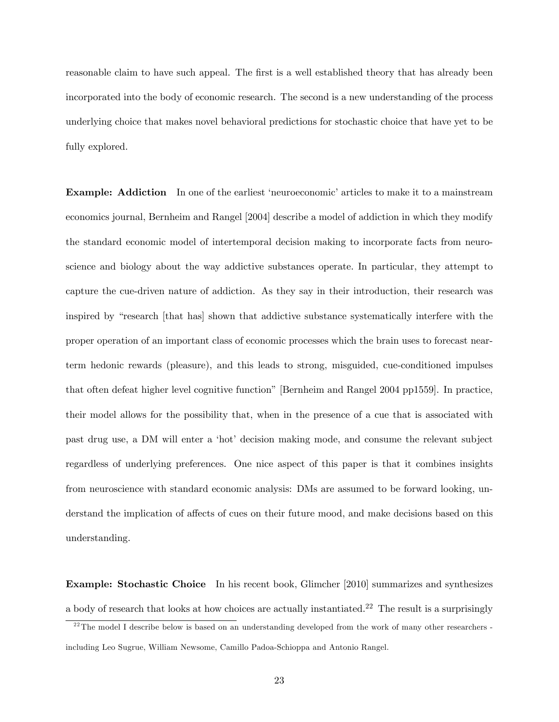reasonable claim to have such appeal. The first is a well established theory that has already been incorporated into the body of economic research. The second is a new understanding of the process underlying choice that makes novel behavioral predictions for stochastic choice that have yet to be fully explored.

**Example:** Addiction In one of the earliest 'neuroeconomic' articles to make it to a mainstream economics journal, Bernheim and Rangel [2004] describe a model of addiction in which they modify the standard economic model of intertemporal decision making to incorporate facts from neuroscience and biology about the way addictive substances operate. In particular, they attempt to capture the cue-driven nature of addiction. As they say in their introduction, their research was inspired by "research [that has] shown that addictive substance systematically interfere with the proper operation of an important class of economic processes which the brain uses to forecast nearterm hedonic rewards (pleasure), and this leads to strong, misguided, cue-conditioned impulses that often defeat higher level cognitive functionî[Bernheim and Rangel 2004 pp1559]. In practice, their model allows for the possibility that, when in the presence of a cue that is associated with past drug use, a DM will enter a ëhotí decision making mode, and consume the relevant subject regardless of underlying preferences. One nice aspect of this paper is that it combines insights from neuroscience with standard economic analysis: DMs are assumed to be forward looking, understand the implication of affects of cues on their future mood, and make decisions based on this understanding.

Example: Stochastic Choice In his recent book, Glimcher [2010] summarizes and synthesizes a body of research that looks at how choices are actually instantiated.<sup>22</sup> The result is a surprisingly

 $22$ The model I describe below is based on an understanding developed from the work of many other researchers including Leo Sugrue, William Newsome, Camillo Padoa-Schioppa and Antonio Rangel.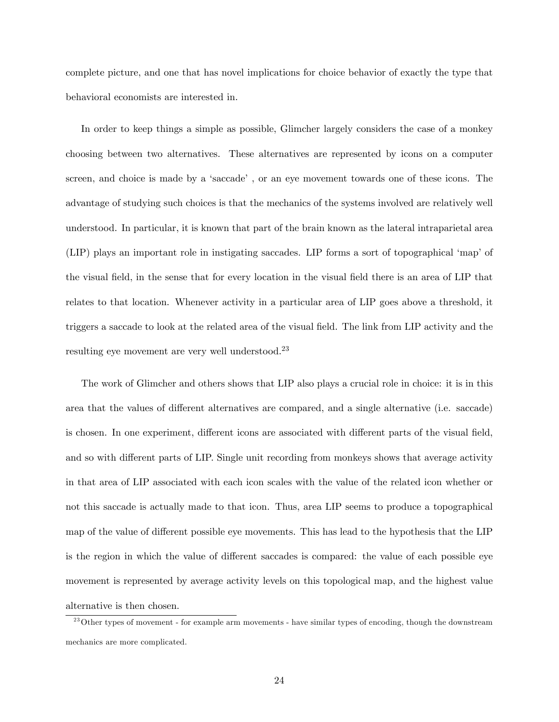complete picture, and one that has novel implications for choice behavior of exactly the type that behavioral economists are interested in.

In order to keep things a simple as possible, Glimcher largely considers the case of a monkey choosing between two alternatives. These alternatives are represented by icons on a computer screen, and choice is made by a 'saccade', or an eye movement towards one of these icons. The advantage of studying such choices is that the mechanics of the systems involved are relatively well understood. In particular, it is known that part of the brain known as the lateral intraparietal area (LIP) plays an important role in instigating saccades. LIP forms a sort of topographical 'map' of the visual Öeld, in the sense that for every location in the visual Öeld there is an area of LIP that relates to that location. Whenever activity in a particular area of LIP goes above a threshold, it triggers a saccade to look at the related area of the visual field. The link from LIP activity and the resulting eye movement are very well understood.<sup>23</sup>

The work of Glimcher and others shows that LIP also plays a crucial role in choice: it is in this area that the values of different alternatives are compared, and a single alternative (i.e. saccade) is chosen. In one experiment, different icons are associated with different parts of the visual field, and so with different parts of LIP. Single unit recording from monkeys shows that average activity in that area of LIP associated with each icon scales with the value of the related icon whether or not this saccade is actually made to that icon. Thus, area LIP seems to produce a topographical map of the value of different possible eye movements. This has lead to the hypothesis that the LIP is the region in which the value of different saccades is compared: the value of each possible eye movement is represented by average activity levels on this topological map, and the highest value alternative is then chosen.

 $^{23}$ Other types of movement - for example arm movements - have similar types of encoding, though the downstream mechanics are more complicated.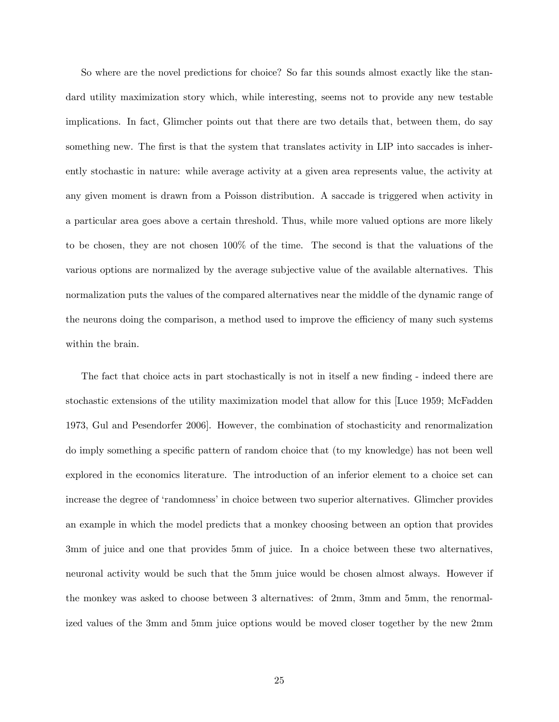So where are the novel predictions for choice? So far this sounds almost exactly like the standard utility maximization story which, while interesting, seems not to provide any new testable implications. In fact, Glimcher points out that there are two details that, between them, do say something new. The first is that the system that translates activity in LIP into saccades is inherently stochastic in nature: while average activity at a given area represents value, the activity at any given moment is drawn from a Poisson distribution. A saccade is triggered when activity in a particular area goes above a certain threshold. Thus, while more valued options are more likely to be chosen, they are not chosen 100% of the time. The second is that the valuations of the various options are normalized by the average subjective value of the available alternatives. This normalization puts the values of the compared alternatives near the middle of the dynamic range of the neurons doing the comparison, a method used to improve the efficiency of many such systems within the brain.

The fact that choice acts in part stochastically is not in itself a new finding - indeed there are stochastic extensions of the utility maximization model that allow for this [Luce 1959; McFadden 1973, Gul and Pesendorfer 2006]. However, the combination of stochasticity and renormalization do imply something a specific pattern of random choice that (to my knowledge) has not been well explored in the economics literature. The introduction of an inferior element to a choice set can increase the degree of 'randomness' in choice between two superior alternatives. Glimcher provides an example in which the model predicts that a monkey choosing between an option that provides 3mm of juice and one that provides 5mm of juice. In a choice between these two alternatives, neuronal activity would be such that the 5mm juice would be chosen almost always. However if the monkey was asked to choose between 3 alternatives: of 2mm, 3mm and 5mm, the renormalized values of the 3mm and 5mm juice options would be moved closer together by the new 2mm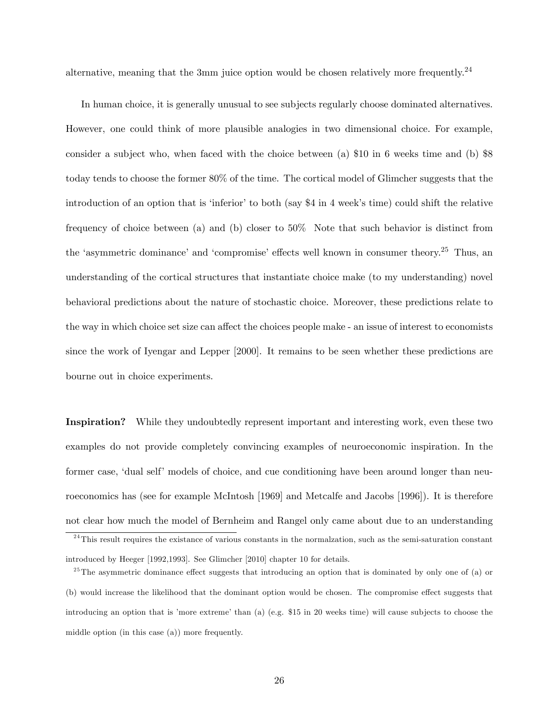alternative, meaning that the 3mm juice option would be chosen relatively more frequently.<sup>24</sup>

In human choice, it is generally unusual to see subjects regularly choose dominated alternatives. However, one could think of more plausible analogies in two dimensional choice. For example, consider a subject who, when faced with the choice between (a) \$10 in 6 weeks time and (b) \$8 today tends to choose the former 80% of the time. The cortical model of Glimcher suggests that the introduction of an option that is 'inferior' to both (say \$4 in 4 week's time) could shift the relative frequency of choice between (a) and (b) closer to 50% Note that such behavior is distinct from the 'asymmetric dominance' and 'compromise' effects well known in consumer theory.<sup>25</sup> Thus, an understanding of the cortical structures that instantiate choice make (to my understanding) novel behavioral predictions about the nature of stochastic choice. Moreover, these predictions relate to the way in which choice set size can affect the choices people make - an issue of interest to economists since the work of Iyengar and Lepper [2000]. It remains to be seen whether these predictions are bourne out in choice experiments.

Inspiration? While they undoubtedly represent important and interesting work, even these two examples do not provide completely convincing examples of neuroeconomic inspiration. In the former case, 'dual self' models of choice, and cue conditioning have been around longer than neuroeconomics has (see for example McIntosh [1969] and Metcalfe and Jacobs [1996]). It is therefore not clear how much the model of Bernheim and Rangel only came about due to an understanding

 $24$ This result requires the existance of various constants in the normalzation, such as the semi-saturation constant introduced by Heeger [1992,1993]. See Glimcher [2010] chapter 10 for details.

 $25$ The asymmetric dominance effect suggests that introducing an option that is dominated by only one of (a) or (b) would increase the likelihood that the dominant option would be chosen. The compromise effect suggests that introducing an option that is 'more extreme' than (a) (e.g. \$15 in 20 weeks time) will cause subjects to choose the middle option (in this case (a)) more frequently.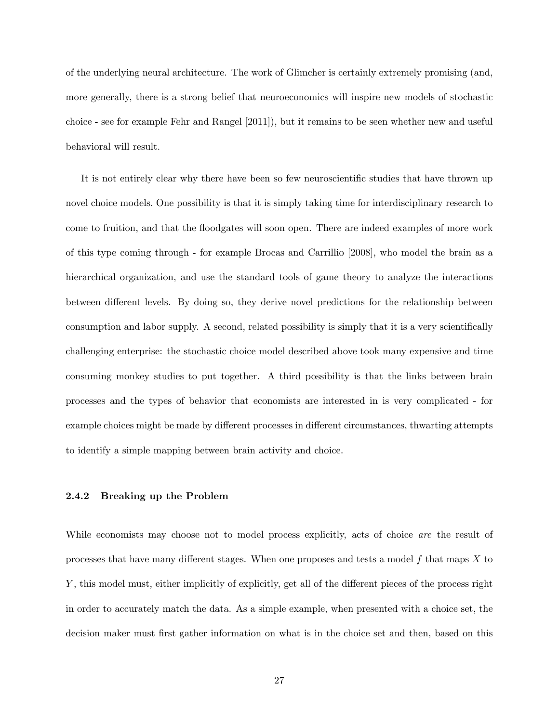of the underlying neural architecture. The work of Glimcher is certainly extremely promising (and, more generally, there is a strong belief that neuroeconomics will inspire new models of stochastic choice - see for example Fehr and Rangel [2011]), but it remains to be seen whether new and useful behavioral will result.

It is not entirely clear why there have been so few neuroscientific studies that have thrown up novel choice models. One possibility is that it is simply taking time for interdisciplinary research to come to fruition, and that the floodgates will soon open. There are indeed examples of more work of this type coming through - for example Brocas and Carrillio [2008], who model the brain as a hierarchical organization, and use the standard tools of game theory to analyze the interactions between different levels. By doing so, they derive novel predictions for the relationship between consumption and labor supply. A second, related possibility is simply that it is a very scientifically challenging enterprise: the stochastic choice model described above took many expensive and time consuming monkey studies to put together. A third possibility is that the links between brain processes and the types of behavior that economists are interested in is very complicated - for example choices might be made by different processes in different circumstances, thwarting attempts to identify a simple mapping between brain activity and choice.

#### 2.4.2 Breaking up the Problem

While economists may choose not to model process explicitly, acts of choice are the result of processes that have many different stages. When one proposes and tests a model  $f$  that maps  $X$  to Y, this model must, either implicitly of explicitly, get all of the different pieces of the process right in order to accurately match the data. As a simple example, when presented with a choice set, the decision maker must first gather information on what is in the choice set and then, based on this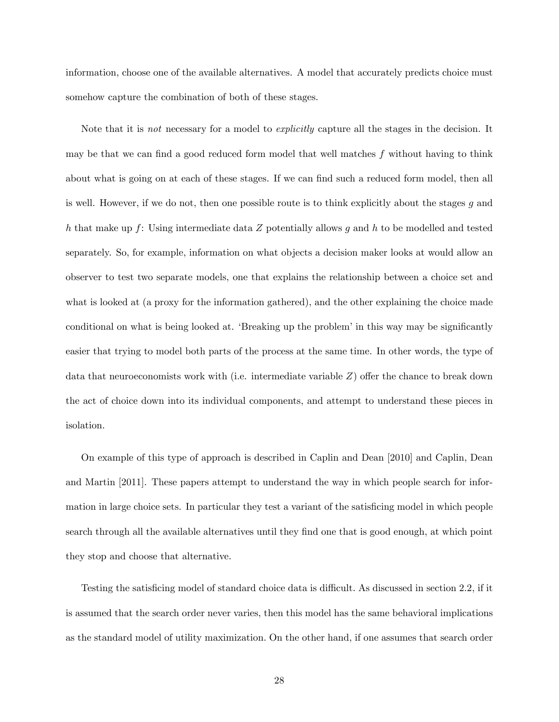information, choose one of the available alternatives. A model that accurately predicts choice must somehow capture the combination of both of these stages.

Note that it is *not* necessary for a model to *explicitly* capture all the stages in the decision. It may be that we can find a good reduced form model that well matches  $f$  without having to think about what is going on at each of these stages. If we can find such a reduced form model, then all is well. However, if we do not, then one possible route is to think explicitly about the stages  $g$  and h that make up f: Using intermediate data Z potentially allows g and h to be modelled and tested separately. So, for example, information on what objects a decision maker looks at would allow an observer to test two separate models, one that explains the relationship between a choice set and what is looked at (a proxy for the information gathered), and the other explaining the choice made conditional on what is being looked at. 'Breaking up the problem' in this way may be significantly easier that trying to model both parts of the process at the same time. In other words, the type of data that neuroeconomists work with (i.e. intermediate variable  $Z$ ) offer the chance to break down the act of choice down into its individual components, and attempt to understand these pieces in isolation.

On example of this type of approach is described in Caplin and Dean [2010] and Caplin, Dean and Martin [2011]. These papers attempt to understand the way in which people search for information in large choice sets. In particular they test a variant of the satisficing model in which people search through all the available alternatives until they find one that is good enough, at which point they stop and choose that alternative.

Testing the satisficing model of standard choice data is difficult. As discussed in section 2.2, if it is assumed that the search order never varies, then this model has the same behavioral implications as the standard model of utility maximization. On the other hand, if one assumes that search order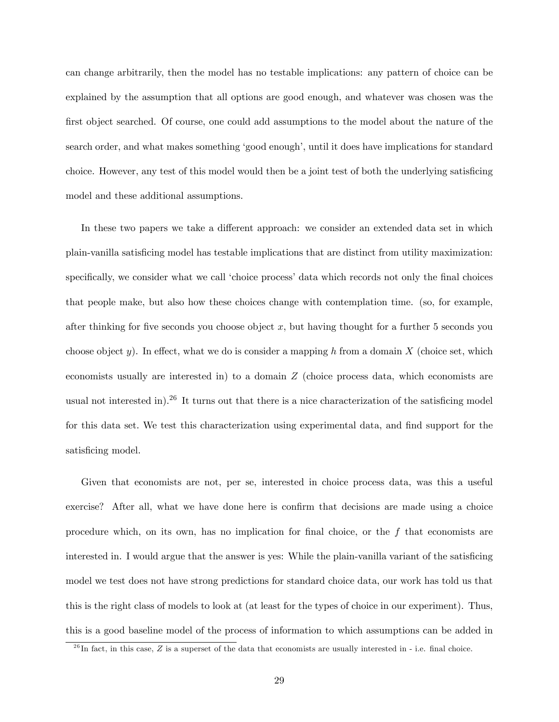can change arbitrarily, then the model has no testable implications: any pattern of choice can be explained by the assumption that all options are good enough, and whatever was chosen was the first object searched. Of course, one could add assumptions to the model about the nature of the search order, and what makes something 'good enough', until it does have implications for standard choice. However, any test of this model would then be a joint test of both the underlying satisficing model and these additional assumptions.

In these two papers we take a different approach: we consider an extended data set in which plain-vanilla satisficing model has testable implications that are distinct from utility maximization: specifically, we consider what we call 'choice process' data which records not only the final choices that people make, but also how these choices change with contemplation time. (so, for example, after thinking for five seconds you choose object x, but having thought for a further 5 seconds you choose object y). In effect, what we do is consider a mapping h from a domain X (choice set, which economists usually are interested in) to a domain  $Z$  (choice process data, which economists are usual not interested in).<sup>26</sup> It turns out that there is a nice characterization of the satisficing model for this data set. We test this characterization using experimental data, and find support for the satisficing model.

Given that economists are not, per se, interested in choice process data, was this a useful exercise? After all, what we have done here is confirm that decisions are made using a choice procedure which, on its own, has no implication for final choice, or the  $f$  that economists are interested in. I would argue that the answer is yes: While the plain-vanilla variant of the satisficing model we test does not have strong predictions for standard choice data, our work has told us that this is the right class of models to look at (at least for the types of choice in our experiment). Thus, this is a good baseline model of the process of information to which assumptions can be added in

 $^{26}$ In fact, in this case, Z is a superset of the data that economists are usually interested in - i.e. final choice.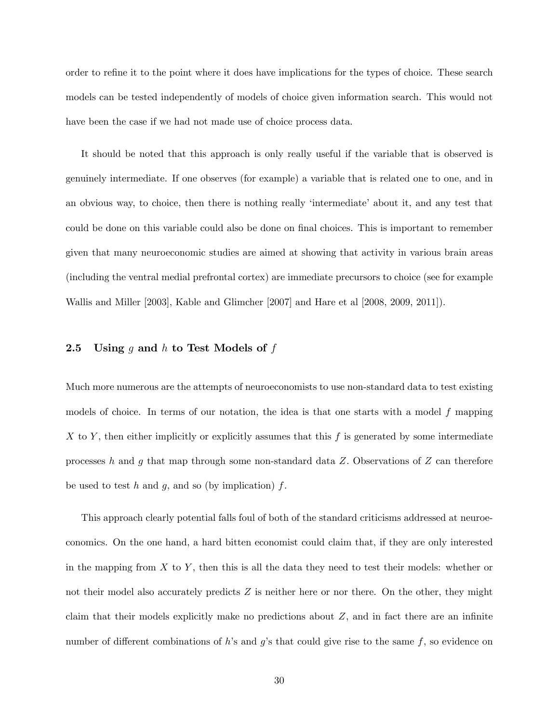order to refine it to the point where it does have implications for the types of choice. These search models can be tested independently of models of choice given information search. This would not have been the case if we had not made use of choice process data.

It should be noted that this approach is only really useful if the variable that is observed is genuinely intermediate. If one observes (for example) a variable that is related one to one, and in an obvious way, to choice, then there is nothing really 'intermediate' about it, and any test that could be done on this variable could also be done on final choices. This is important to remember given that many neuroeconomic studies are aimed at showing that activity in various brain areas (including the ventral medial prefrontal cortex) are immediate precursors to choice (see for example Wallis and Miller [2003], Kable and Glimcher [2007] and Hare et al [2008, 2009, 2011]).

#### 2.5 Using g and h to Test Models of  $f$

Much more numerous are the attempts of neuroeconomists to use non-standard data to test existing models of choice. In terms of our notation, the idea is that one starts with a model  $f$  mapping X to Y, then either implicitly or explicitly assumes that this  $f$  is generated by some intermediate processes h and g that map through some non-standard data  $Z$ . Observations of  $Z$  can therefore be used to test h and g, and so (by implication)  $f$ .

This approach clearly potential falls foul of both of the standard criticisms addressed at neuroeconomics. On the one hand, a hard bitten economist could claim that, if they are only interested in the mapping from  $X$  to  $Y$ , then this is all the data they need to test their models: whether or not their model also accurately predicts  $Z$  is neither here or nor there. On the other, they might claim that their models explicitly make no predictions about  $Z$ , and in fact there are an infinite number of different combinations of h's and g's that could give rise to the same f, so evidence on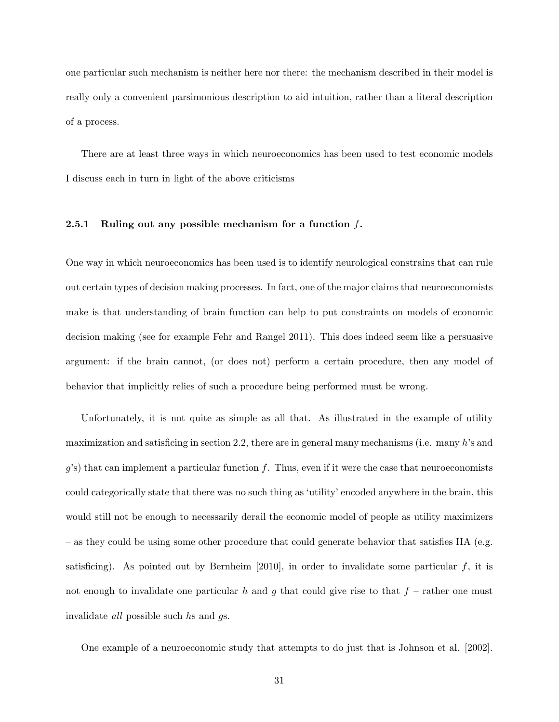one particular such mechanism is neither here nor there: the mechanism described in their model is really only a convenient parsimonious description to aid intuition, rather than a literal description of a process.

There are at least three ways in which neuroeconomics has been used to test economic models I discuss each in turn in light of the above criticisms

#### 2.5.1 Ruling out any possible mechanism for a function  $f$ .

One way in which neuroeconomics has been used is to identify neurological constrains that can rule out certain types of decision making processes. In fact, one of the major claims that neuroeconomists make is that understanding of brain function can help to put constraints on models of economic decision making (see for example Fehr and Rangel 2011). This does indeed seem like a persuasive argument: if the brain cannot, (or does not) perform a certain procedure, then any model of behavior that implicitly relies of such a procedure being performed must be wrong.

Unfortunately, it is not quite as simple as all that. As illustrated in the example of utility maximization and satisficing in section 2.2, there are in general many mechanisms (i.e. many  $h$ 's and  $g$ 's) that can implement a particular function f. Thus, even if it were the case that neuroeconomists could categorically state that there was no such thing as 'utility' encoded anywhere in the brain, this would still not be enough to necessarily derail the economic model of people as utility maximizers – as they could be using some other procedure that could generate behavior that satisfies IIA (e.g. satisficing). As pointed out by Bernheim [2010], in order to invalidate some particular  $f$ , it is not enough to invalidate one particular h and g that could give rise to that  $f$  – rather one must invalidate all possible such hs and gs.

One example of a neuroeconomic study that attempts to do just that is Johnson et al. [2002].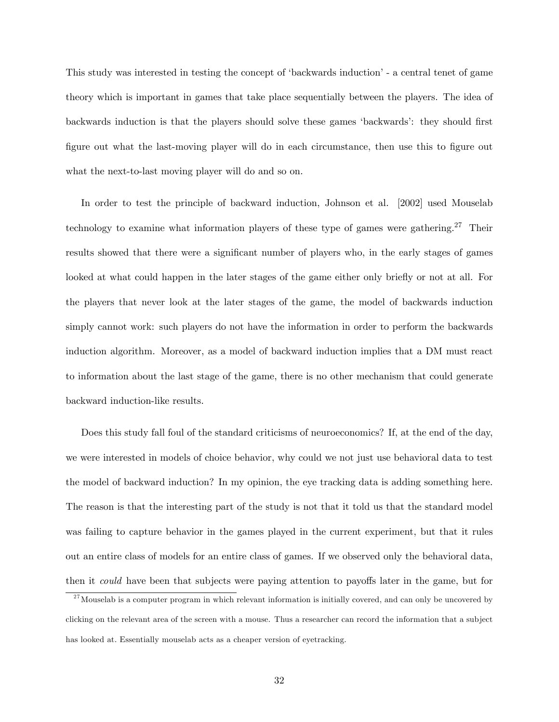This study was interested in testing the concept of 'backwards induction' - a central tenet of game theory which is important in games that take place sequentially between the players. The idea of backwards induction is that the players should solve these games 'backwards': they should first figure out what the last-moving player will do in each circumstance, then use this to figure out what the next-to-last moving player will do and so on.

In order to test the principle of backward induction, Johnson et al. [2002] used Mouselab technology to examine what information players of these type of games were gathering.<sup>27</sup> Their results showed that there were a significant number of players who, in the early stages of games looked at what could happen in the later stages of the game either only briefly or not at all. For the players that never look at the later stages of the game, the model of backwards induction simply cannot work: such players do not have the information in order to perform the backwards induction algorithm. Moreover, as a model of backward induction implies that a DM must react to information about the last stage of the game, there is no other mechanism that could generate backward induction-like results.

Does this study fall foul of the standard criticisms of neuroeconomics? If, at the end of the day, we were interested in models of choice behavior, why could we not just use behavioral data to test the model of backward induction? In my opinion, the eye tracking data is adding something here. The reason is that the interesting part of the study is not that it told us that the standard model was failing to capture behavior in the games played in the current experiment, but that it rules out an entire class of models for an entire class of games. If we observed only the behavioral data, then it *could* have been that subjects were paying attention to payoffs later in the game, but for

 $27$  Mouselab is a computer program in which relevant information is initially covered, and can only be uncovered by clicking on the relevant area of the screen with a mouse. Thus a researcher can record the information that a subject has looked at. Essentially mouselab acts as a cheaper version of eyetracking.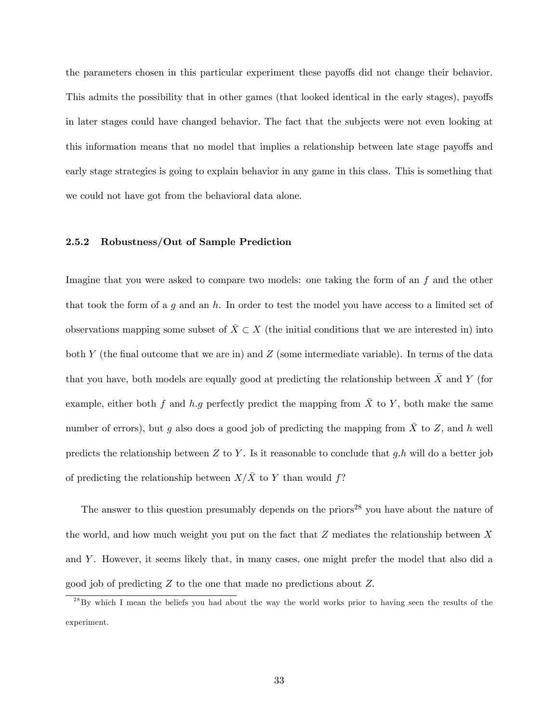the parameters chosen in this particular experiment these payoffs did not change their behavior. This admits the possibility that in other games (that looked identical in the early stages), payoffs in later stages could have changed behavior. The fact that the subjects were not even looking at this information means that no model that implies a relationship between late stage payoffs and early stage strategies is going to explain behavior in any game in this class. This is something that we could not have got from the behavioral data alone.

#### 2.5.2 Robustness/Out of Sample Prediction

Imagine that you were asked to compare two models: one taking the form of an f and the other that took the form of a  $g$  and an  $h$ . In order to test the model you have access to a limited set of observations mapping some subset of  $\bar{X} \subset X$  (the initial conditions that we are interested in) into both Y (the final outcome that we are in) and  $Z$  (some intermediate variable). In terms of the data that you have, both models are equally good at predicting the relationship between  $\bar{X}$  and Y (for example, either both f and h.g perfectly predict the mapping from  $\bar{X}$  to Y, both make the same number of errors), but g also does a good job of predicting the mapping from  $\bar{X}$  to Z, and h well predicts the relationship between  $Z$  to Y. Is it reasonable to conclude that  $q.h$  will do a better job of predicting the relationship between  $X/\bar{X}$  to Y than would f?

The answer to this question presumably depends on the priors<sup>28</sup> you have about the nature of the world, and how much weight you put on the fact that  $Z$  mediates the relationship between  $X$ and Y. However, it seems likely that, in many cases, one might prefer the model that also did a good job of predicting  $Z$  to the one that made no predictions about  $Z$ .

 $^{28}$ By which I mean the beliefs you had about the way the world works prior to having seen the results of the experiment.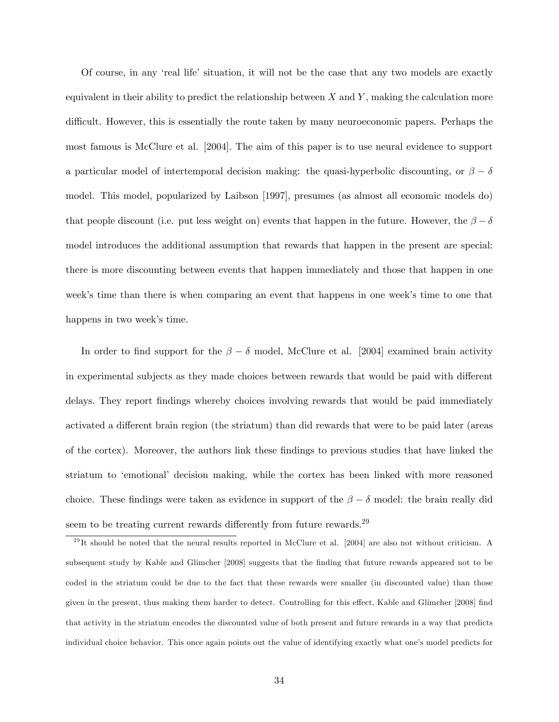Of course, in any ëreal lifeí situation, it will not be the case that any two models are exactly equivalent in their ability to predict the relationship between  $X$  and  $Y$ , making the calculation more difficult. However, this is essentially the route taken by many neuroeconomic papers. Perhaps the most famous is McClure et al. [2004]. The aim of this paper is to use neural evidence to support a particular model of intertemporal decision making: the quasi-hyperbolic discounting, or  $\beta - \delta$ model. This model, popularized by Laibson [1997], presumes (as almost all economic models do) that people discount (i.e. put less weight on) events that happen in the future. However, the  $\beta - \delta$ model introduces the additional assumption that rewards that happen in the present are special: there is more discounting between events that happen immediately and those that happen in one week's time than there is when comparing an event that happens in one week's time to one that happens in two week's time.

In order to find support for the  $\beta - \delta$  model, McClure et al. [2004] examined brain activity in experimental subjects as they made choices between rewards that would be paid with different delays. They report findings whereby choices involving rewards that would be paid immediately activated a different brain region (the striatum) than did rewards that were to be paid later (areas of the cortex). Moreover, the authors link these Öndings to previous studies that have linked the striatum to 'emotional' decision making, while the cortex has been linked with more reasoned choice. These findings were taken as evidence in support of the  $\beta - \delta$  model: the brain really did seem to be treating current rewards differently from future rewards.<sup>29</sup>

 $^{29}$ It should be noted that the neural results reported in McClure et al. [2004] are also not without criticism. A subsequent study by Kable and Glimcher [2008] suggests that the finding that future rewards appeared not to be coded in the striatum could be due to the fact that these rewards were smaller (in discounted value) than those given in the present, thus making them harder to detect. Controlling for this effect, Kable and Glimcher [2008] find that activity in the striatum encodes the discounted value of both present and future rewards in a way that predicts individual choice behavior. This once again points out the value of identifying exactly what one's model predicts for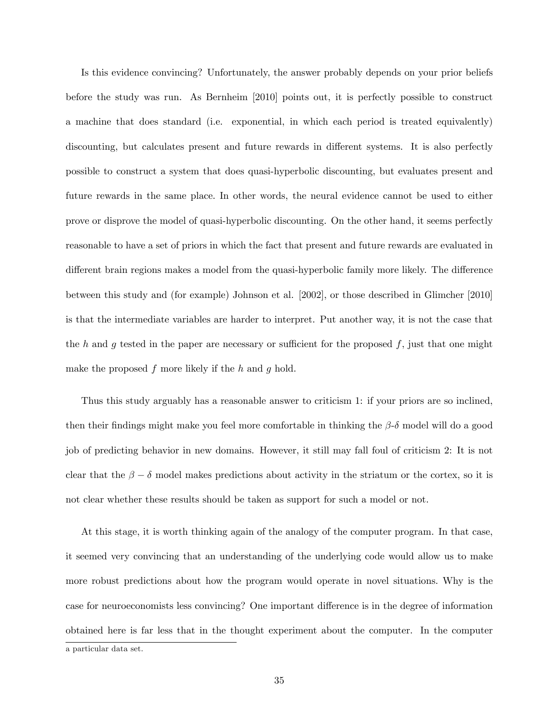Is this evidence convincing? Unfortunately, the answer probably depends on your prior beliefs before the study was run. As Bernheim [2010] points out, it is perfectly possible to construct a machine that does standard (i.e. exponential, in which each period is treated equivalently) discounting, but calculates present and future rewards in different systems. It is also perfectly possible to construct a system that does quasi-hyperbolic discounting, but evaluates present and future rewards in the same place. In other words, the neural evidence cannot be used to either prove or disprove the model of quasi-hyperbolic discounting. On the other hand, it seems perfectly reasonable to have a set of priors in which the fact that present and future rewards are evaluated in different brain regions makes a model from the quasi-hyperbolic family more likely. The difference between this study and (for example) Johnson et al. [2002], or those described in Glimcher [2010] is that the intermediate variables are harder to interpret. Put another way, it is not the case that the h and g tested in the paper are necessary or sufficient for the proposed f, just that one might make the proposed  $f$  more likely if the  $h$  and  $g$  hold.

Thus this study arguably has a reasonable answer to criticism 1: if your priors are so inclined, then their findings might make you feel more comfortable in thinking the  $\beta$ - $\delta$  model will do a good job of predicting behavior in new domains. However, it still may fall foul of criticism 2: It is not clear that the  $\beta - \delta$  model makes predictions about activity in the striatum or the cortex, so it is not clear whether these results should be taken as support for such a model or not.

At this stage, it is worth thinking again of the analogy of the computer program. In that case, it seemed very convincing that an understanding of the underlying code would allow us to make more robust predictions about how the program would operate in novel situations. Why is the case for neuroeconomists less convincing? One important difference is in the degree of information obtained here is far less that in the thought experiment about the computer. In the computer a particular data set.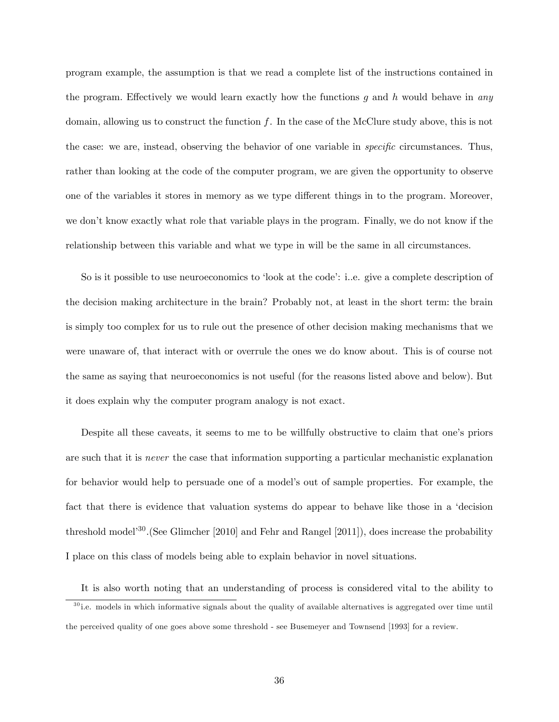program example, the assumption is that we read a complete list of the instructions contained in the program. Effectively we would learn exactly how the functions g and h would behave in any domain, allowing us to construct the function f. In the case of the McClure study above, this is not the case: we are, instead, observing the behavior of one variable in *specific* circumstances. Thus, rather than looking at the code of the computer program, we are given the opportunity to observe one of the variables it stores in memory as we type different things in to the program. Moreover, we don't know exactly what role that variable plays in the program. Finally, we do not know if the relationship between this variable and what we type in will be the same in all circumstances.

So is it possible to use neuroeconomics to 'look at the code': i..e. give a complete description of the decision making architecture in the brain? Probably not, at least in the short term: the brain is simply too complex for us to rule out the presence of other decision making mechanisms that we were unaware of, that interact with or overrule the ones we do know about. This is of course not the same as saying that neuroeconomics is not useful (for the reasons listed above and below). But it does explain why the computer program analogy is not exact.

Despite all these caveats, it seems to me to be willfully obstructive to claim that one's priors are such that it is never the case that information supporting a particular mechanistic explanation for behavior would help to persuade one of a model's out of sample properties. For example, the fact that there is evidence that valuation systems do appear to behave like those in a 'decision threshold model<sup>30</sup>. (See Glimcher [2010] and Fehr and Rangel [2011]), does increase the probability I place on this class of models being able to explain behavior in novel situations.

It is also worth noting that an understanding of process is considered vital to the ability to  $30$  i.e. models in which informative signals about the quality of available alternatives is aggregated over time until the perceived quality of one goes above some threshold - see Busemeyer and Townsend [1993] for a review.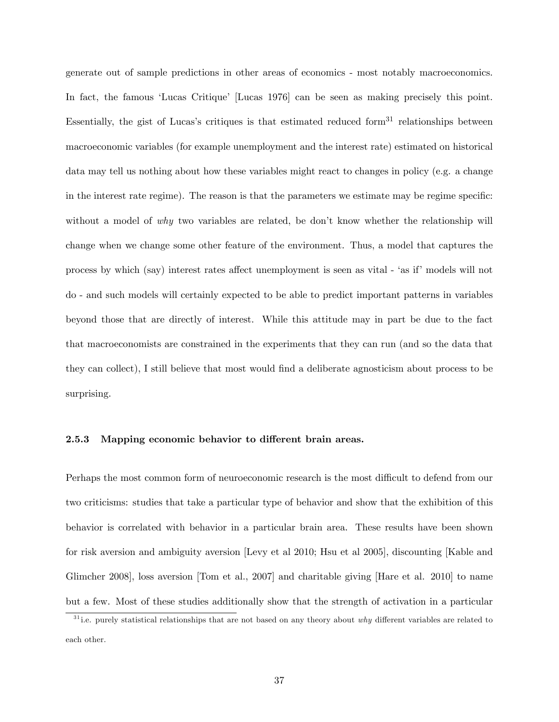generate out of sample predictions in other areas of economics - most notably macroeconomics. In fact, the famous 'Lucas Critique' [Lucas 1976] can be seen as making precisely this point. Essentially, the gist of Lucas's critiques is that estimated reduced form $31$  relationships between macroeconomic variables (for example unemployment and the interest rate) estimated on historical data may tell us nothing about how these variables might react to changes in policy (e.g. a change in the interest rate regime). The reason is that the parameters we estimate may be regime specific: without a model of *why* two variables are related, be don't know whether the relationship will change when we change some other feature of the environment. Thus, a model that captures the process by which (say) interest rates affect unemployment is seen as vital - 'as if' models will not do - and such models will certainly expected to be able to predict important patterns in variables beyond those that are directly of interest. While this attitude may in part be due to the fact that macroeconomists are constrained in the experiments that they can run (and so the data that they can collect), I still believe that most would find a deliberate agnosticism about process to be surprising.

#### 2.5.3 Mapping economic behavior to different brain areas.

Perhaps the most common form of neuroeconomic research is the most difficult to defend from our two criticisms: studies that take a particular type of behavior and show that the exhibition of this behavior is correlated with behavior in a particular brain area. These results have been shown for risk aversion and ambiguity aversion [Levy et al 2010; Hsu et al 2005], discounting [Kable and Glimcher 2008], loss aversion [Tom et al., 2007] and charitable giving [Hare et al. 2010] to name but a few. Most of these studies additionally show that the strength of activation in a particular

 $31$  i.e. purely statistical relationships that are not based on any theory about why different variables are related to each other.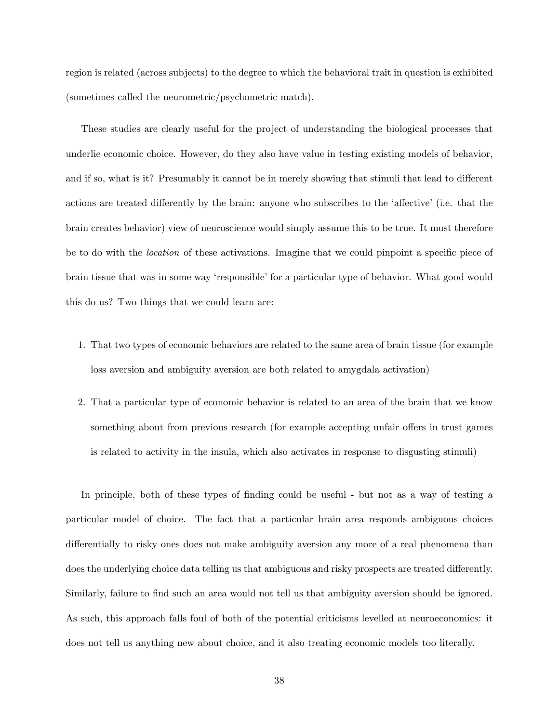region is related (across subjects) to the degree to which the behavioral trait in question is exhibited (sometimes called the neurometric/psychometric match).

These studies are clearly useful for the project of understanding the biological processes that underlie economic choice. However, do they also have value in testing existing models of behavior, and if so, what is it? Presumably it cannot be in merely showing that stimuli that lead to different actions are treated differently by the brain: anyone who subscribes to the 'affective' (i.e. that the brain creates behavior) view of neuroscience would simply assume this to be true. It must therefore be to do with the *location* of these activations. Imagine that we could pinpoint a specific piece of brain tissue that was in some way 'responsible' for a particular type of behavior. What good would this do us? Two things that we could learn are:

- 1. That two types of economic behaviors are related to the same area of brain tissue (for example loss aversion and ambiguity aversion are both related to amygdala activation)
- 2. That a particular type of economic behavior is related to an area of the brain that we know something about from previous research (for example accepting unfair offers in trust games is related to activity in the insula, which also activates in response to disgusting stimuli)

In principle, both of these types of finding could be useful - but not as a way of testing a particular model of choice. The fact that a particular brain area responds ambiguous choices differentially to risky ones does not make ambiguity aversion any more of a real phenomena than does the underlying choice data telling us that ambiguous and risky prospects are treated differently. Similarly, failure to find such an area would not tell us that ambiguity aversion should be ignored. As such, this approach falls foul of both of the potential criticisms levelled at neuroeconomics: it does not tell us anything new about choice, and it also treating economic models too literally.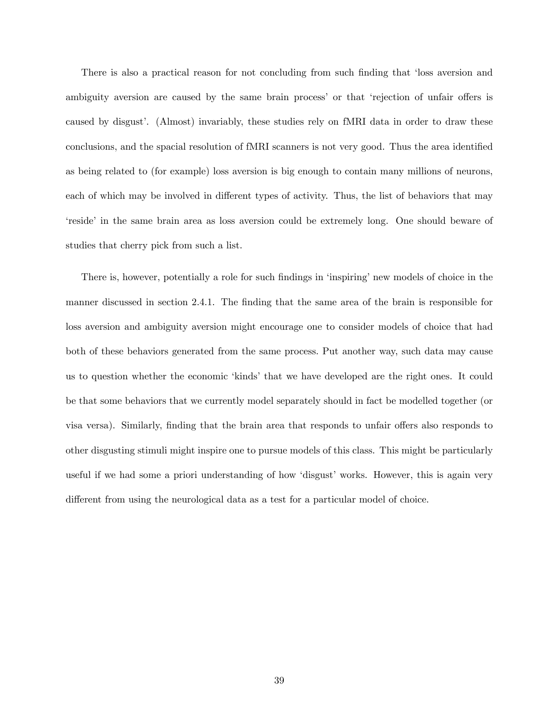There is also a practical reason for not concluding from such finding that 'loss aversion and ambiguity aversion are caused by the same brain process' or that 'rejection of unfair offers is caused by disgust'. (Almost) invariably, these studies rely on fMRI data in order to draw these conclusions, and the spacial resolution of fMRI scanners is not very good. Thus the area identified as being related to (for example) loss aversion is big enough to contain many millions of neurons, each of which may be involved in different types of activity. Thus, the list of behaviors that may ëresideí in the same brain area as loss aversion could be extremely long. One should beware of studies that cherry pick from such a list.

There is, however, potentially a role for such findings in 'inspiring' new models of choice in the manner discussed in section 2.4.1. The finding that the same area of the brain is responsible for loss aversion and ambiguity aversion might encourage one to consider models of choice that had both of these behaviors generated from the same process. Put another way, such data may cause us to question whether the economic 'kinds' that we have developed are the right ones. It could be that some behaviors that we currently model separately should in fact be modelled together (or visa versa). Similarly, finding that the brain area that responds to unfair offers also responds to other disgusting stimuli might inspire one to pursue models of this class. This might be particularly useful if we had some a priori understanding of how 'disgust' works. However, this is again very different from using the neurological data as a test for a particular model of choice.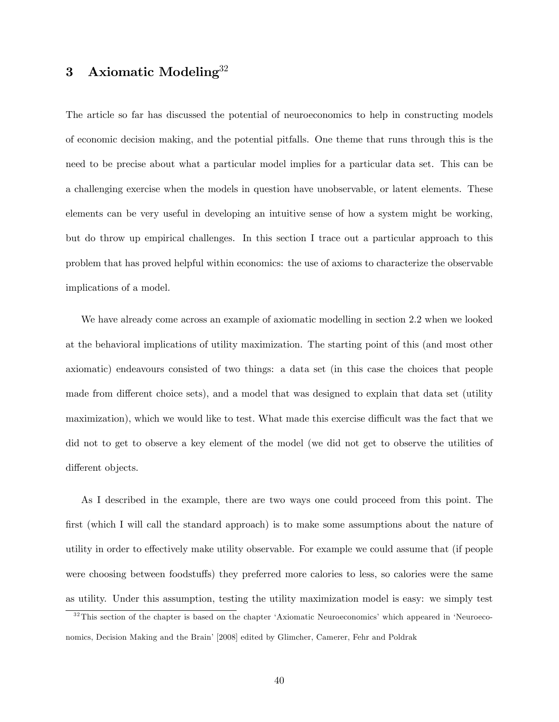# 3 Axiomatic Modeling<sup>32</sup>

The article so far has discussed the potential of neuroeconomics to help in constructing models of economic decision making, and the potential pitfalls. One theme that runs through this is the need to be precise about what a particular model implies for a particular data set. This can be a challenging exercise when the models in question have unobservable, or latent elements. These elements can be very useful in developing an intuitive sense of how a system might be working, but do throw up empirical challenges. In this section I trace out a particular approach to this problem that has proved helpful within economics: the use of axioms to characterize the observable implications of a model.

We have already come across an example of axiomatic modelling in section 2.2 when we looked at the behavioral implications of utility maximization. The starting point of this (and most other axiomatic) endeavours consisted of two things: a data set (in this case the choices that people made from different choice sets), and a model that was designed to explain that data set (utility maximization), which we would like to test. What made this exercise difficult was the fact that we did not to get to observe a key element of the model (we did not get to observe the utilities of different objects.

As I described in the example, there are two ways one could proceed from this point. The first (which I will call the standard approach) is to make some assumptions about the nature of utility in order to effectively make utility observable. For example we could assume that (if people were choosing between foodstuffs) they preferred more calories to less, so calories were the same as utility. Under this assumption, testing the utility maximization model is easy: we simply test

<sup>&</sup>lt;sup>32</sup>This section of the chapter is based on the chapter 'Axiomatic Neuroeconomics' which appeared in 'Neuroeconomics, Decision Making and the Brain' [2008] edited by Glimcher, Camerer, Fehr and Poldrak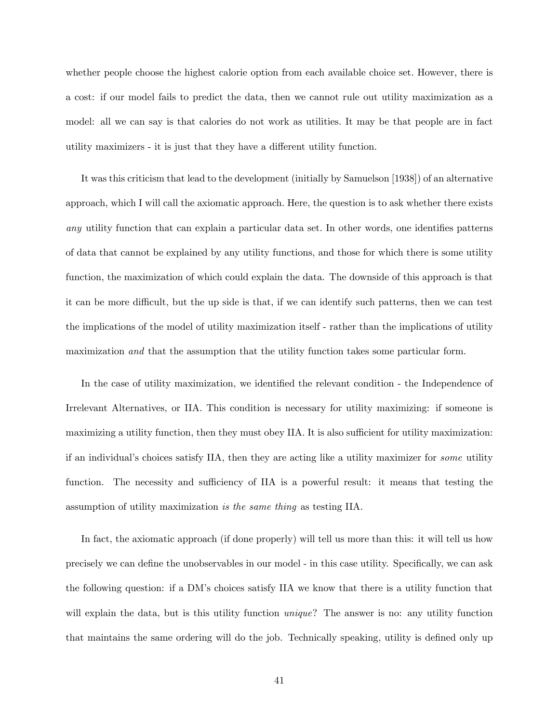whether people choose the highest calorie option from each available choice set. However, there is a cost: if our model fails to predict the data, then we cannot rule out utility maximization as a model: all we can say is that calories do not work as utilities. It may be that people are in fact utility maximizers - it is just that they have a different utility function.

It was this criticism that lead to the development (initially by Samuelson [1938]) of an alternative approach, which I will call the axiomatic approach. Here, the question is to ask whether there exists any utility function that can explain a particular data set. In other words, one identifies patterns of data that cannot be explained by any utility functions, and those for which there is some utility function, the maximization of which could explain the data. The downside of this approach is that it can be more difficult, but the up side is that, if we can identify such patterns, then we can test the implications of the model of utility maximization itself - rather than the implications of utility maximization and that the assumption that the utility function takes some particular form.

In the case of utility maximization, we identified the relevant condition - the Independence of Irrelevant Alternatives, or IIA. This condition is necessary for utility maximizing: if someone is maximizing a utility function, then they must obey IIA. It is also sufficient for utility maximization: if an individual's choices satisfy IIA, then they are acting like a utility maximizer for *some* utility function. The necessity and sufficiency of IIA is a powerful result: it means that testing the assumption of utility maximization is the same thing as testing IIA.

In fact, the axiomatic approach (if done properly) will tell us more than this: it will tell us how precisely we can define the unobservables in our model - in this case utility. Specifically, we can ask the following question: if a DMís choices satisfy IIA we know that there is a utility function that will explain the data, but is this utility function *unique*? The answer is no: any utility function that maintains the same ordering will do the job. Technically speaking, utility is defined only up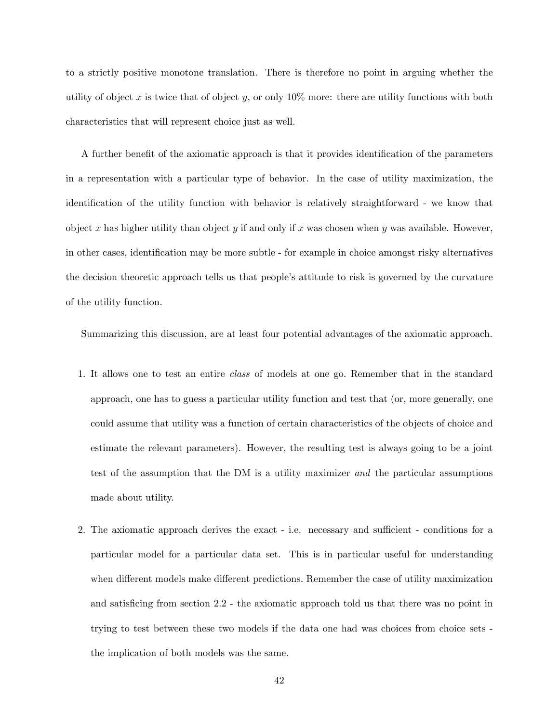to a strictly positive monotone translation. There is therefore no point in arguing whether the utility of object x is twice that of object y, or only  $10\%$  more: there are utility functions with both characteristics that will represent choice just as well.

A further benefit of the axiomatic approach is that it provides identification of the parameters in a representation with a particular type of behavior. In the case of utility maximization, the identification of the utility function with behavior is relatively straightforward - we know that object x has higher utility than object y if and only if x was chosen when y was available. However, in other cases, identification may be more subtle - for example in choice amongst risky alternatives the decision theoretic approach tells us that people's attitude to risk is governed by the curvature of the utility function.

Summarizing this discussion, are at least four potential advantages of the axiomatic approach.

- 1. It allows one to test an entire class of models at one go. Remember that in the standard approach, one has to guess a particular utility function and test that (or, more generally, one could assume that utility was a function of certain characteristics of the objects of choice and estimate the relevant parameters). However, the resulting test is always going to be a joint test of the assumption that the DM is a utility maximizer and the particular assumptions made about utility.
- 2. The axiomatic approach derives the exact  $-$  i.e. necessary and sufficient  $-$  conditions for a particular model for a particular data set. This is in particular useful for understanding when different models make different predictions. Remember the case of utility maximization and satisficing from section  $2.2$  - the axiomatic approach told us that there was no point in trying to test between these two models if the data one had was choices from choice sets the implication of both models was the same.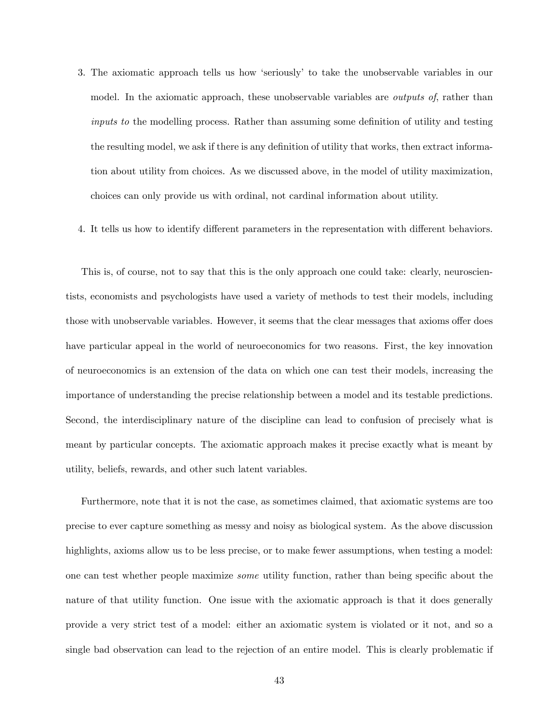- 3. The axiomatic approach tells us how ëseriouslyí to take the unobservable variables in our model. In the axiomatic approach, these unobservable variables are outputs of, rather than inputs to the modelling process. Rather than assuming some definition of utility and testing the resulting model, we ask if there is any definition of utility that works, then extract information about utility from choices. As we discussed above, in the model of utility maximization, choices can only provide us with ordinal, not cardinal information about utility.
- 4. It tells us how to identify different parameters in the representation with different behaviors.

This is, of course, not to say that this is the only approach one could take: clearly, neuroscientists, economists and psychologists have used a variety of methods to test their models, including those with unobservable variables. However, it seems that the clear messages that axioms offer does have particular appeal in the world of neuroeconomics for two reasons. First, the key innovation of neuroeconomics is an extension of the data on which one can test their models, increasing the importance of understanding the precise relationship between a model and its testable predictions. Second, the interdisciplinary nature of the discipline can lead to confusion of precisely what is meant by particular concepts. The axiomatic approach makes it precise exactly what is meant by utility, beliefs, rewards, and other such latent variables.

Furthermore, note that it is not the case, as sometimes claimed, that axiomatic systems are too precise to ever capture something as messy and noisy as biological system. As the above discussion highlights, axioms allow us to be less precise, or to make fewer assumptions, when testing a model: one can test whether people maximize *some* utility function, rather than being specific about the nature of that utility function. One issue with the axiomatic approach is that it does generally provide a very strict test of a model: either an axiomatic system is violated or it not, and so a single bad observation can lead to the rejection of an entire model. This is clearly problematic if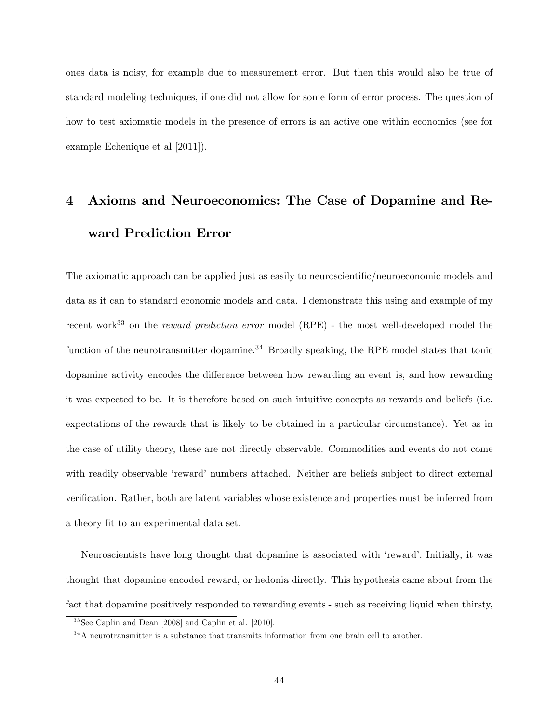ones data is noisy, for example due to measurement error. But then this would also be true of standard modeling techniques, if one did not allow for some form of error process. The question of how to test axiomatic models in the presence of errors is an active one within economics (see for example Echenique et al [2011]).

# 4 Axioms and Neuroeconomics: The Case of Dopamine and Reward Prediction Error

The axiomatic approach can be applied just as easily to neuroscientific/neuroeconomic models and data as it can to standard economic models and data. I demonstrate this using and example of my recent work<sup>33</sup> on the *reward prediction error* model (RPE) - the most well-developed model the function of the neurotransmitter dopamine.<sup>34</sup> Broadly speaking, the RPE model states that tonic dopamine activity encodes the difference between how rewarding an event is, and how rewarding it was expected to be. It is therefore based on such intuitive concepts as rewards and beliefs (i.e. expectations of the rewards that is likely to be obtained in a particular circumstance). Yet as in the case of utility theory, these are not directly observable. Commodities and events do not come with readily observable 'reward' numbers attached. Neither are beliefs subject to direct external verification. Rather, both are latent variables whose existence and properties must be inferred from a theory fit to an experimental data set.

Neuroscientists have long thought that dopamine is associated with 'reward'. Initially, it was thought that dopamine encoded reward, or hedonia directly. This hypothesis came about from the fact that dopamine positively responded to rewarding events - such as receiving liquid when thirsty,

 $33$ See Caplin and Dean [2008] and Caplin et al. [2010].

 $34A$  neurotransmitter is a substance that transmits information from one brain cell to another.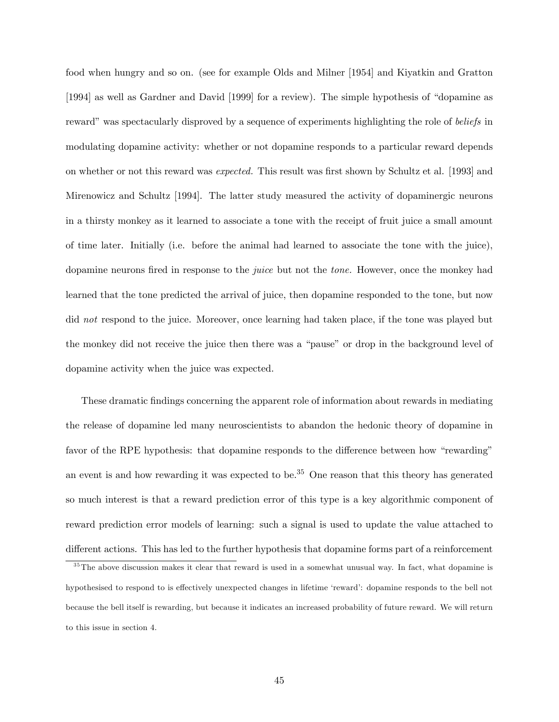food when hungry and so on. (see for example Olds and Milner [1954] and Kiyatkin and Gratton [1994] as well as Gardner and David [1999] for a review). The simple hypothesis of "dopamine as reward" was spectacularly disproved by a sequence of experiments highlighting the role of beliefs in modulating dopamine activity: whether or not dopamine responds to a particular reward depends on whether or not this reward was *expected*. This result was first shown by Schultz et al. [1993] and Mirenowicz and Schultz [1994]. The latter study measured the activity of dopaminergic neurons in a thirsty monkey as it learned to associate a tone with the receipt of fruit juice a small amount of time later. Initially (i.e. before the animal had learned to associate the tone with the juice), dopamine neurons fired in response to the *juice* but not the *tone*. However, once the monkey had learned that the tone predicted the arrival of juice, then dopamine responded to the tone, but now did not respond to the juice. Moreover, once learning had taken place, if the tone was played but the monkey did not receive the juice then there was a "pause" or drop in the background level of dopamine activity when the juice was expected.

These dramatic findings concerning the apparent role of information about rewards in mediating the release of dopamine led many neuroscientists to abandon the hedonic theory of dopamine in favor of the RPE hypothesis: that dopamine responds to the difference between how "rewarding" an event is and how rewarding it was expected to be.<sup>35</sup> One reason that this theory has generated so much interest is that a reward prediction error of this type is a key algorithmic component of reward prediction error models of learning: such a signal is used to update the value attached to different actions. This has led to the further hypothesis that dopamine forms part of a reinforcement

<sup>&</sup>lt;sup>35</sup>The above discussion makes it clear that reward is used in a somewhat unusual way. In fact, what dopamine is hypothesised to respond to is effectively unexpected changes in lifetime 'reward': dopamine responds to the bell not because the bell itself is rewarding, but because it indicates an increased probability of future reward. We will return to this issue in section 4.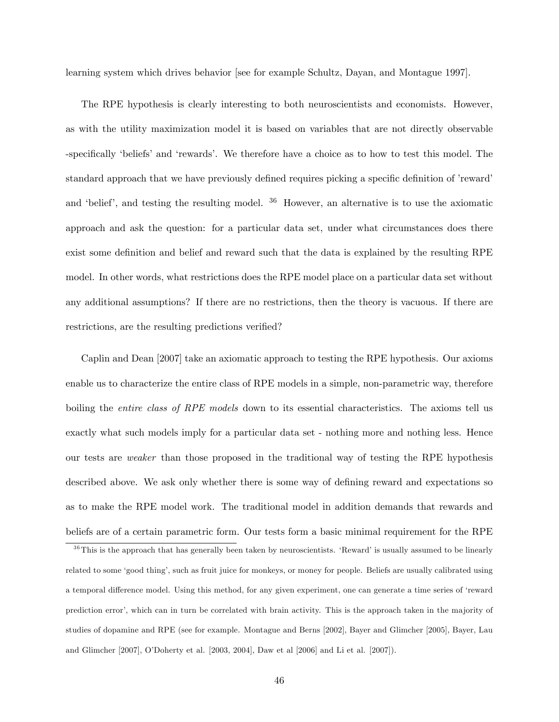learning system which drives behavior [see for example Schultz, Dayan, and Montague 1997].

The RPE hypothesis is clearly interesting to both neuroscientists and economists. However, as with the utility maximization model it is based on variables that are not directly observable -specifically 'beliefs' and 'rewards'. We therefore have a choice as to how to test this model. The standard approach that we have previously defined requires picking a specific definition of 'reward' and 'belief', and testing the resulting model.  $36$  However, an alternative is to use the axiomatic approach and ask the question: for a particular data set, under what circumstances does there exist some definition and belief and reward such that the data is explained by the resulting RPE model. In other words, what restrictions does the RPE model place on a particular data set without any additional assumptions? If there are no restrictions, then the theory is vacuous. If there are restrictions, are the resulting predictions verified?

Caplin and Dean [2007] take an axiomatic approach to testing the RPE hypothesis. Our axioms enable us to characterize the entire class of RPE models in a simple, non-parametric way, therefore boiling the *entire class of RPE models* down to its essential characteristics. The axioms tell us exactly what such models imply for a particular data set - nothing more and nothing less. Hence our tests are weaker than those proposed in the traditional way of testing the RPE hypothesis described above. We ask only whether there is some way of defining reward and expectations so as to make the RPE model work. The traditional model in addition demands that rewards and beliefs are of a certain parametric form. Our tests form a basic minimal requirement for the RPE

 $36$ This is the approach that has generally been taken by neuroscientists. 'Reward' is usually assumed to be linearly related to some ëgood thingí, such as fruit juice for monkeys, or money for people. Beliefs are usually calibrated using a temporal difference model. Using this method, for any given experiment, one can generate a time series of 'reward prediction errorí, which can in turn be correlated with brain activity. This is the approach taken in the majority of studies of dopamine and RPE (see for example. Montague and Berns [2002], Bayer and Glimcher [2005], Bayer, Lau and Glimcher [2007], O'Doherty et al. [2003, 2004], Daw et al [2006] and Li et al. [2007]).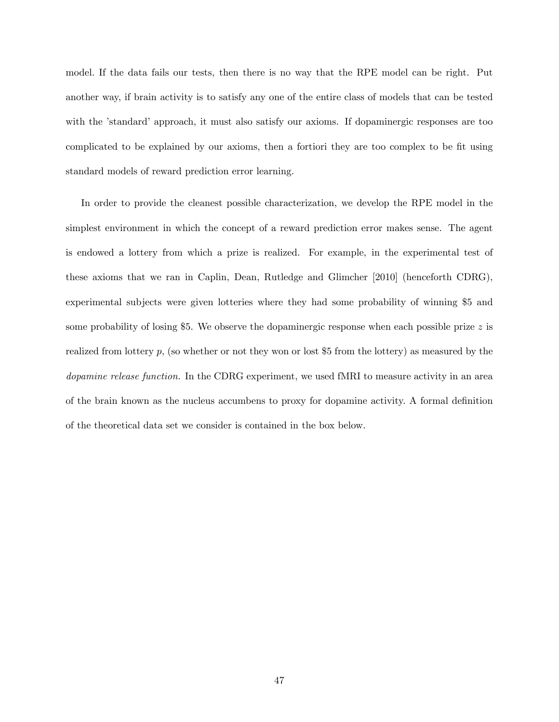model. If the data fails our tests, then there is no way that the RPE model can be right. Put another way, if brain activity is to satisfy any one of the entire class of models that can be tested with the 'standard' approach, it must also satisfy our axioms. If dopaminergic responses are too complicated to be explained by our axioms, then a fortiori they are too complex to be fit using standard models of reward prediction error learning.

In order to provide the cleanest possible characterization, we develop the RPE model in the simplest environment in which the concept of a reward prediction error makes sense. The agent is endowed a lottery from which a prize is realized. For example, in the experimental test of these axioms that we ran in Caplin, Dean, Rutledge and Glimcher [2010] (henceforth CDRG), experimental subjects were given lotteries where they had some probability of winning \$5 and some probability of losing \$5. We observe the dopaminergic response when each possible prize  $z$  is realized from lottery p, (so whether or not they won or lost \$5 from the lottery) as measured by the dopamine release function. In the CDRG experiment, we used fMRI to measure activity in an area of the brain known as the nucleus accumbens to proxy for dopamine activity. A formal definition of the theoretical data set we consider is contained in the box below.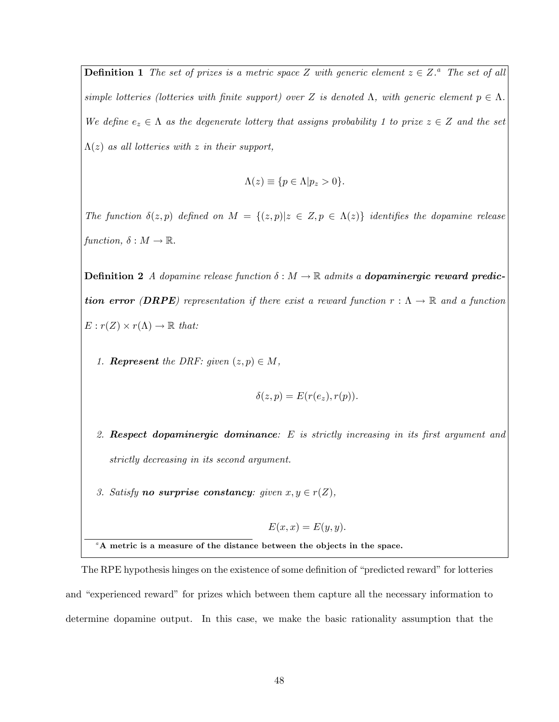**Definition 1** The set of prizes is a metric space Z with generic element  $z \in Z$ .<sup>a</sup> The set of all simple lotteries (lotteries with finite support) over Z is denoted  $\Lambda$ , with generic element  $p \in \Lambda$ . We define  $e_z \in \Lambda$  as the degenerate lottery that assigns probability 1 to prize  $z \in \mathbb{Z}$  and the set  $\Lambda(z)$  as all lotteries with z in their support,

$$
\Lambda(z) \equiv \{ p \in \Lambda | p_z > 0 \}.
$$

The function  $\delta(z, p)$  defined on  $M = \{(z, p)|z \in Z, p \in \Lambda(z)\}\$  identifies the dopamine release function,  $\delta : M \to \mathbb{R}$ .

**Definition 2** A dopamine release function  $\delta : M \to \mathbb{R}$  admits a **dopaminergic reward predic**tion error (DRPE) representation if there exist a reward function  $r : \Lambda \to \mathbb{R}$  and a function  $E: r(Z) \times r(\Lambda) \to \mathbb{R}$  that:

1. **Represent** the DRF: given  $(z, p) \in M$ ,

$$
\delta(z,p) = E(r(e_z),r(p)).
$$

- 2. Respect dopaminergic dominance: E is strictly increasing in its first argument and strictly decreasing in its second argument.
- 3. Satisfy **no surprise constancy**: given  $x, y \in r(Z)$ ,

$$
E(x, x) = E(y, y).
$$

 ${}^a$ A metric is a measure of the distance between the objects in the space.

The RPE hypothesis hinges on the existence of some definition of "predicted reward" for lotteries and "experienced reward" for prizes which between them capture all the necessary information to determine dopamine output. In this case, we make the basic rationality assumption that the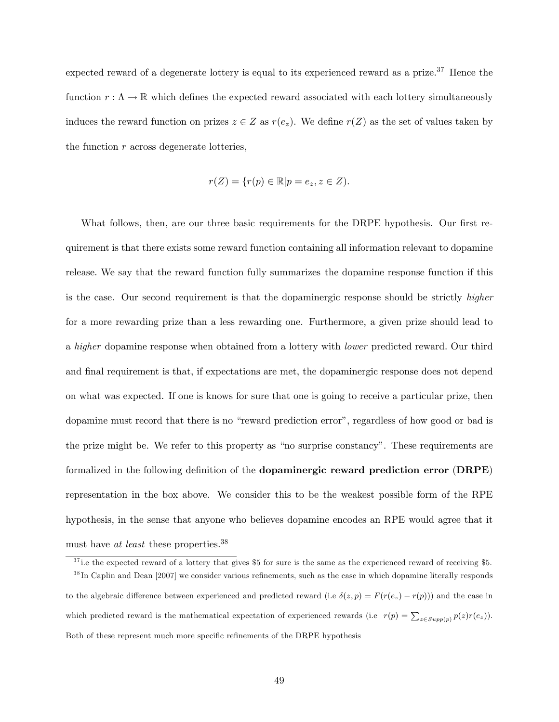expected reward of a degenerate lottery is equal to its experienced reward as a prize.<sup>37</sup> Hence the function  $r : \Lambda \to \mathbb{R}$  which defines the expected reward associated with each lottery simultaneously induces the reward function on prizes  $z \in Z$  as  $r(e_z)$ . We define  $r(Z)$  as the set of values taken by the function  $r$  across degenerate lotteries,

$$
r(Z) = \{r(p) \in \mathbb{R} | p = e_z, z \in Z\}.
$$

What follows, then, are our three basic requirements for the DRPE hypothesis. Our first requirement is that there exists some reward function containing all information relevant to dopamine release. We say that the reward function fully summarizes the dopamine response function if this is the case. Our second requirement is that the dopaminergic response should be strictly higher for a more rewarding prize than a less rewarding one. Furthermore, a given prize should lead to a higher dopamine response when obtained from a lottery with lower predicted reward. Our third and final requirement is that, if expectations are met, the dopaminergic response does not depend on what was expected. If one is knows for sure that one is going to receive a particular prize, then dopamine must record that there is no "reward prediction error", regardless of how good or bad is the prize might be. We refer to this property as "no surprise constancy". These requirements are formalized in the following definition of the **dopaminergic reward prediction error** (DRPE) representation in the box above. We consider this to be the weakest possible form of the RPE hypothesis, in the sense that anyone who believes dopamine encodes an RPE would agree that it must have at least these properties.<sup>38</sup>

 $3^7$  i.e the expected reward of a lottery that gives \$5 for sure is the same as the experienced reward of receiving \$5.

 $38$  In Caplin and Dean  $[2007]$  we consider various refinements, such as the case in which dopamine literally responds to the algebraic difference between experienced and predicted reward (i.e  $\delta(z, p) = F(r(e_z) - r(p))$ ) and the case in which predicted reward is the mathematical expectation of experienced rewards (i.e  $r(p) = \sum_{z \in Supp(p)} p(z)r(e_z)$ ). Both of these represent much more specific refinements of the DRPE hypothesis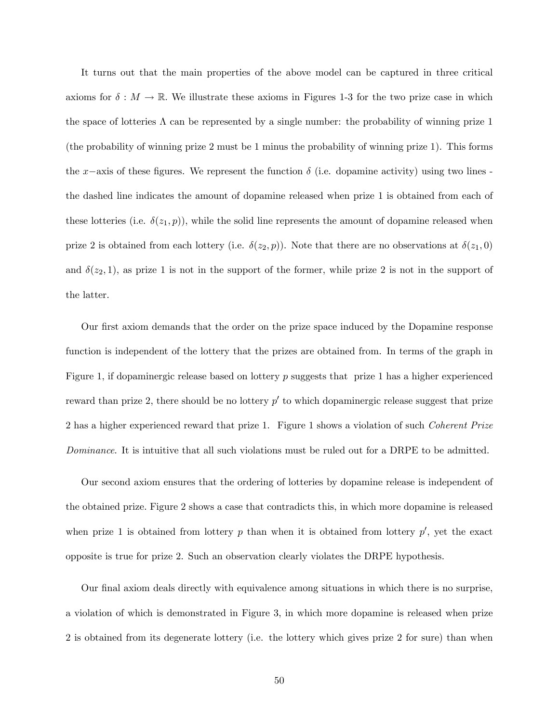It turns out that the main properties of the above model can be captured in three critical axioms for  $\delta : M \to \mathbb{R}$ . We illustrate these axioms in Figures 1-3 for the two prize case in which the space of lotteries  $\Lambda$  can be represented by a single number: the probability of winning prize 1 (the probability of winning prize 2 must be 1 minus the probability of winning prize 1). This forms the x-axis of these figures. We represent the function  $\delta$  (i.e. dopamine activity) using two lines the dashed line indicates the amount of dopamine released when prize 1 is obtained from each of these lotteries (i.e.  $\delta(z_1, p)$ ), while the solid line represents the amount of dopamine released when prize 2 is obtained from each lottery (i.e.  $\delta(z_2, p)$ ). Note that there are no observations at  $\delta(z_1, 0)$ and  $\delta(z_2, 1)$ , as prize 1 is not in the support of the former, while prize 2 is not in the support of the latter.

Our first axiom demands that the order on the prize space induced by the Dopamine response function is independent of the lottery that the prizes are obtained from. In terms of the graph in Figure 1, if dopaminergic release based on lottery  $p$  suggests that prize 1 has a higher experienced reward than prize 2, there should be no lottery  $p'$  to which dopaminergic release suggest that prize 2 has a higher experienced reward that prize 1. Figure 1 shows a violation of such Coherent Prize Dominance. It is intuitive that all such violations must be ruled out for a DRPE to be admitted.

Our second axiom ensures that the ordering of lotteries by dopamine release is independent of the obtained prize. Figure 2 shows a case that contradicts this, in which more dopamine is released when prize 1 is obtained from lottery  $p$  than when it is obtained from lottery  $p'$ , yet the exact opposite is true for prize 2. Such an observation clearly violates the DRPE hypothesis.

Our final axiom deals directly with equivalence among situations in which there is no surprise, a violation of which is demonstrated in Figure 3, in which more dopamine is released when prize 2 is obtained from its degenerate lottery (i.e. the lottery which gives prize 2 for sure) than when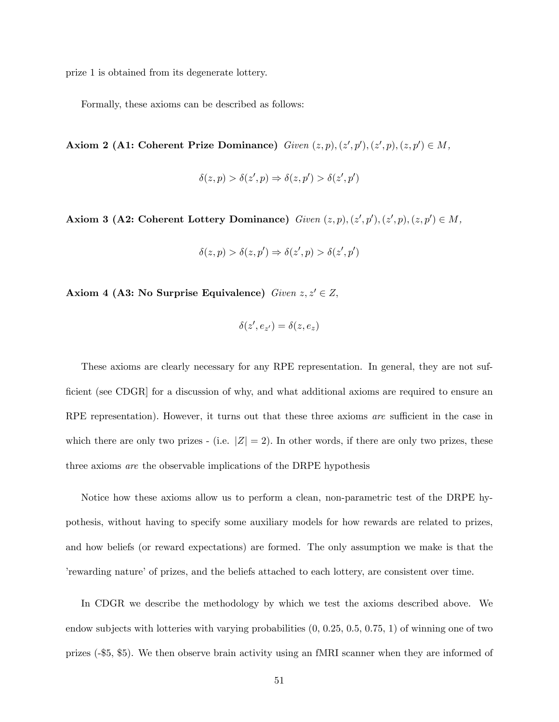prize 1 is obtained from its degenerate lottery.

Formally, these axioms can be described as follows:

Axiom 2 (A1: Coherent Prize Dominance)  $Given (z, p), (z', p'), (z', p), (z, p') \in M$ ,

$$
\delta(z, p) > \delta(z', p) \Rightarrow \delta(z, p') > \delta(z', p')
$$

Axiom 3 (A2: Coherent Lottery Dominance)  $Given (z, p), (z', p'), (z', p), (z, p') \in M$ ,

$$
\delta(z, p) > \delta(z, p') \Rightarrow \delta(z', p) > \delta(z', p')
$$

Axiom 4 (A3: No Surprise Equivalence) Given  $z, z' \in Z$ ,

$$
\delta(z',e_{z'})=\delta(z,e_z)
$$

These axioms are clearly necessary for any RPE representation. In general, they are not sufficient (see CDGR] for a discussion of why, and what additional axioms are required to ensure an RPE representation). However, it turns out that these three axioms are sufficient in the case in which there are only two prizes - (i.e.  $|Z|=2$ ). In other words, if there are only two prizes, these three axioms are the observable implications of the DRPE hypothesis

Notice how these axioms allow us to perform a clean, non-parametric test of the DRPE hypothesis, without having to specify some auxiliary models for how rewards are related to prizes, and how beliefs (or reward expectations) are formed. The only assumption we make is that the frewarding nature' of prizes, and the beliefs attached to each lottery, are consistent over time.

In CDGR we describe the methodology by which we test the axioms described above. We endow subjects with lotteries with varying probabilities (0, 0.25, 0.5, 0.75, 1) of winning one of two prizes (-\$5, \$5). We then observe brain activity using an fMRI scanner when they are informed of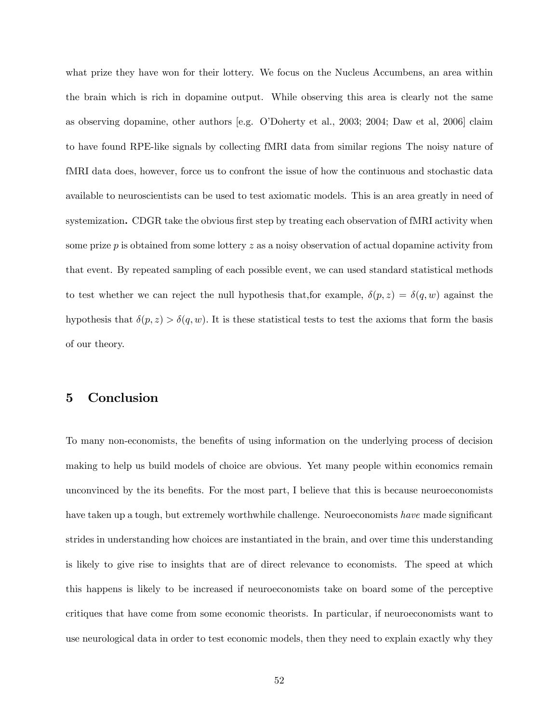what prize they have won for their lottery. We focus on the Nucleus Accumbens, an area within the brain which is rich in dopamine output. While observing this area is clearly not the same as observing dopamine, other authors [e.g. O'Doherty et al., 2003; 2004; Daw et al., 2006] claim to have found RPE-like signals by collecting fMRI data from similar regions The noisy nature of fMRI data does, however, force us to confront the issue of how the continuous and stochastic data available to neuroscientists can be used to test axiomatic models. This is an area greatly in need of systemization. CDGR take the obvious first step by treating each observation of fMRI activity when some prize  $p$  is obtained from some lottery  $z$  as a noisy observation of actual dopamine activity from that event. By repeated sampling of each possible event, we can used standard statistical methods to test whether we can reject the null hypothesis that, for example,  $\delta(p, z) = \delta(q, w)$  against the hypothesis that  $\delta(p, z) > \delta(q, w)$ . It is these statistical tests to test the axioms that form the basis of our theory.

## 5 Conclusion

To many non-economists, the benefits of using information on the underlying process of decision making to help us build models of choice are obvious. Yet many people within economics remain unconvinced by the its benefits. For the most part, I believe that this is because neuroeconomists have taken up a tough, but extremely worthwhile challenge. Neuroeconomists have made significant strides in understanding how choices are instantiated in the brain, and over time this understanding is likely to give rise to insights that are of direct relevance to economists. The speed at which this happens is likely to be increased if neuroeconomists take on board some of the perceptive critiques that have come from some economic theorists. In particular, if neuroeconomists want to use neurological data in order to test economic models, then they need to explain exactly why they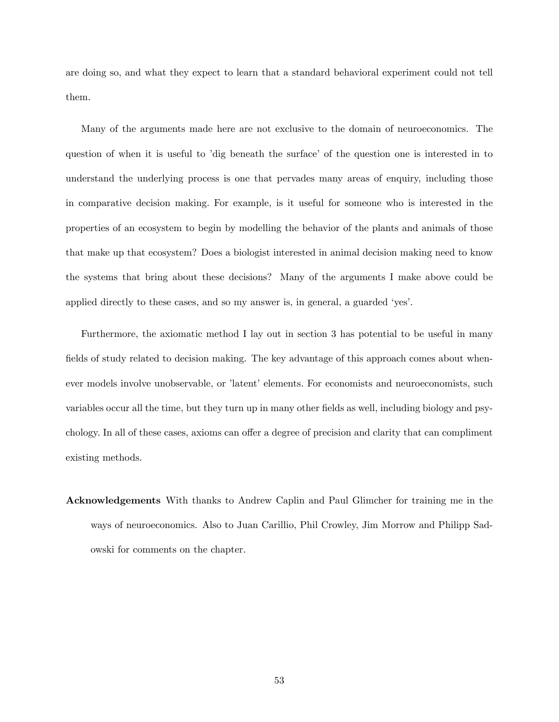are doing so, and what they expect to learn that a standard behavioral experiment could not tell them.

Many of the arguments made here are not exclusive to the domain of neuroeconomics. The question of when it is useful to 'dig beneath the surface' of the question one is interested in to understand the underlying process is one that pervades many areas of enquiry, including those in comparative decision making. For example, is it useful for someone who is interested in the properties of an ecosystem to begin by modelling the behavior of the plants and animals of those that make up that ecosystem? Does a biologist interested in animal decision making need to know the systems that bring about these decisions? Many of the arguments I make above could be applied directly to these cases, and so my answer is, in general, a guarded 'yes'.

Furthermore, the axiomatic method I lay out in section 3 has potential to be useful in many fields of study related to decision making. The key advantage of this approach comes about whenever models involve unobservable, or 'latent' elements. For economists and neuroeconomists, such variables occur all the time, but they turn up in many other fields as well, including biology and psychology. In all of these cases, axioms can offer a degree of precision and clarity that can compliment existing methods.

Acknowledgements With thanks to Andrew Caplin and Paul Glimcher for training me in the ways of neuroeconomics. Also to Juan Carillio, Phil Crowley, Jim Morrow and Philipp Sadowski for comments on the chapter.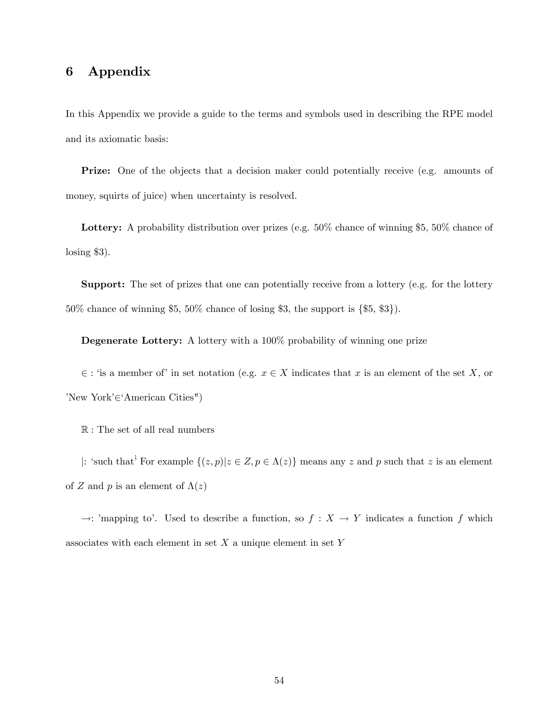# 6 Appendix

In this Appendix we provide a guide to the terms and symbols used in describing the RPE model and its axiomatic basis:

**Prize:** One of the objects that a decision maker could potentially receive (e.g. amounts of money, squirts of juice) when uncertainty is resolved.

Lottery: A probability distribution over prizes (e.g. 50% chance of winning \$5, 50% chance of losing \$3).

Support: The set of prizes that one can potentially receive from a lottery (e.g. for the lottery 50% chance of winning \$5, 50% chance of losing \$3, the support is  $\{\$5, \$3\}$ .

Degenerate Lottery: A lottery with a 100% probability of winning one prize

 $\in$ : 'is a member of' in set notation (e.g.  $x \in X$  indicates that x is an element of the set X, or 'New York' $\in$ 'American Cities")

 $\mathbb R$  : The set of all real numbers

|: 'such that<sup>3</sup> For example  $\{(z, p)|z \in Z, p \in \Lambda(z)\}\)$  means any z and p such that z is an element of Z and p is an element of  $\Lambda(z)$ 

 $\rightarrow$ : 'mapping to'. Used to describe a function, so  $f : X \rightarrow Y$  indicates a function f which associates with each element in set  $X$  a unique element in set  $Y$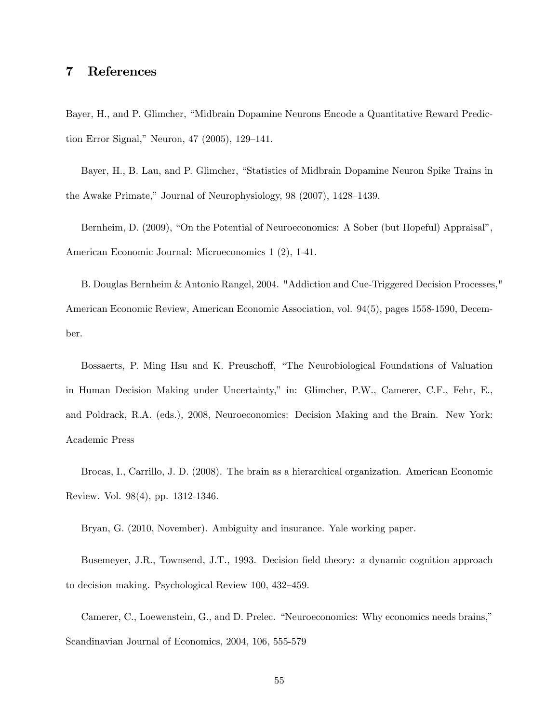# 7 References

Bayer, H., and P. Glimcher, "Midbrain Dopamine Neurons Encode a Quantitative Reward Prediction Error Signal," Neuron, 47  $(2005)$ , 129–141.

Bayer, H., B. Lau, and P. Glimcher, "Statistics of Midbrain Dopamine Neuron Spike Trains in the Awake Primate," Journal of Neurophysiology,  $98$  (2007), 1428–1439.

Bernheim, D. (2009), "On the Potential of Neuroeconomics: A Sober (but Hopeful) Appraisal", American Economic Journal: Microeconomics 1 (2), 1-41.

B. Douglas Bernheim & Antonio Rangel, 2004. "Addiction and Cue-Triggered Decision Processes," American Economic Review, American Economic Association, vol. 94(5), pages 1558-1590, December.

Bossaerts, P. Ming Hsu and K. Preuschoff, "The Neurobiological Foundations of Valuation in Human Decision Making under Uncertainty," in: Glimcher, P.W., Camerer, C.F., Fehr, E., and Poldrack, R.A. (eds.), 2008, Neuroeconomics: Decision Making and the Brain. New York: Academic Press

Brocas, I., Carrillo, J. D. (2008). The brain as a hierarchical organization. American Economic Review. Vol. 98(4), pp. 1312-1346.

Bryan, G. (2010, November). Ambiguity and insurance. Yale working paper.

Busemeyer, J.R., Townsend, J.T., 1993. Decision field theory: a dynamic cognition approach to decision making. Psychological Review 100, 432–459.

Camerer, C., Loewenstein, G., and D. Prelec. "Neuroeconomics: Why economics needs brains," Scandinavian Journal of Economics, 2004, 106, 555-579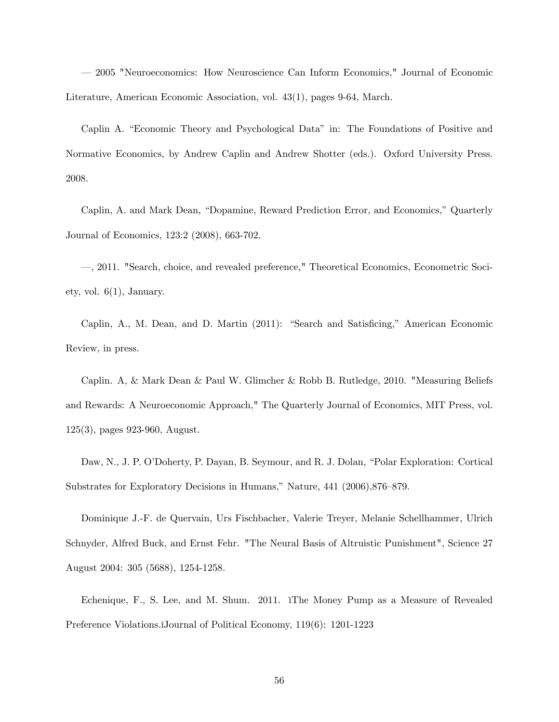ó 2005 "Neuroeconomics: How Neuroscience Can Inform Economics," Journal of Economic Literature, American Economic Association, vol. 43(1), pages 9-64, March.

Caplin A. "Economic Theory and Psychological Data" in: The Foundations of Positive and Normative Economics, by Andrew Caplin and Andrew Shotter (eds.). Oxford University Press. 2008.

Caplin, A. and Mark Dean, "Dopamine, Reward Prediction Error, and Economics," Quarterly Journal of Economics, 123:2 (2008), 663-702.

ó , 2011. "Search, choice, and revealed preference," Theoretical Economics, Econometric Society, vol. 6(1), January.

Caplin, A., M. Dean, and D. Martin (2011): "Search and Satisficing," American Economic Review, in press.

Caplin. A, & Mark Dean & Paul W. Glimcher & Robb B. Rutledge, 2010. "Measuring Beliefs and Rewards: A Neuroeconomic Approach," The Quarterly Journal of Economics, MIT Press, vol. 125(3), pages 923-960, August.

Daw, N., J. P. O'Doherty, P. Dayan, B. Seymour, and R. J. Dolan, "Polar Exploration: Cortical Substrates for Exploratory Decisions in Humans," Nature, 441 (2006),876–879.

Dominique J.-F. de Quervain, Urs Fischbacher, Valerie Treyer, Melanie Schellhammer, Ulrich Schnyder, Alfred Buck, and Ernst Fehr. "The Neural Basis of Altruistic Punishment", Science 27 August 2004: 305 (5688), 1254-1258.

Echenique, F., S. Lee, and M. Shum. 2011. ÏThe Money Pump as a Measure of Revealed Preference Violations.iJournal of Political Economy, 119(6): 1201-1223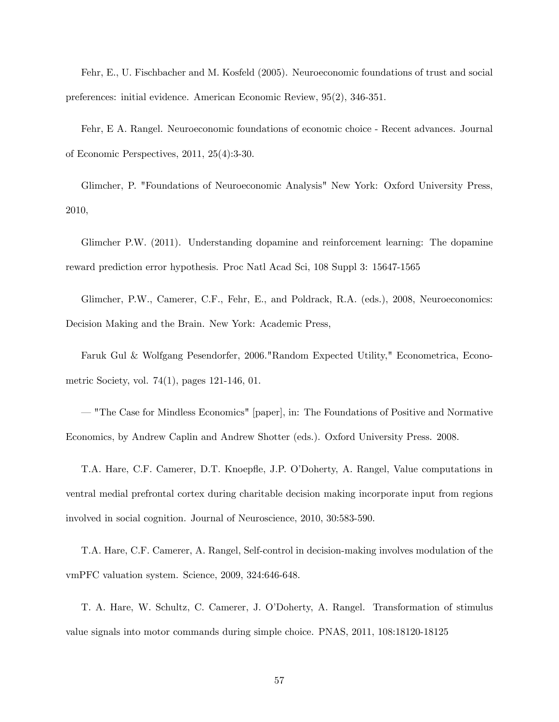Fehr, E., U. Fischbacher and M. Kosfeld (2005). Neuroeconomic foundations of trust and social preferences: initial evidence. American Economic Review, 95(2), 346-351.

Fehr, E A. Rangel. Neuroeconomic foundations of economic choice - Recent advances. Journal of Economic Perspectives, 2011, 25(4):3-30.

Glimcher, P. "Foundations of Neuroeconomic Analysis" New York: Oxford University Press, 2010,

Glimcher P.W. (2011). Understanding dopamine and reinforcement learning: The dopamine reward prediction error hypothesis. Proc Natl Acad Sci, 108 Suppl 3: 15647-1565

Glimcher, P.W., Camerer, C.F., Fehr, E., and Poldrack, R.A. (eds.), 2008, Neuroeconomics: Decision Making and the Brain. New York: Academic Press,

Faruk Gul & Wolfgang Pesendorfer, 2006."Random Expected Utility," Econometrica, Econometric Society, vol. 74(1), pages 121-146, 01.

ó "The Case for Mindless Economics" [paper], in: The Foundations of Positive and Normative Economics, by Andrew Caplin and Andrew Shotter (eds.). Oxford University Press. 2008.

T.A. Hare, C.F. Camerer, D.T. Knoepáe, J.P. OíDoherty, A. Rangel, Value computations in ventral medial prefrontal cortex during charitable decision making incorporate input from regions involved in social cognition. Journal of Neuroscience, 2010, 30:583-590.

T.A. Hare, C.F. Camerer, A. Rangel, Self-control in decision-making involves modulation of the vmPFC valuation system. Science, 2009, 324:646-648.

T. A. Hare, W. Schultz, C. Camerer, J. OíDoherty, A. Rangel. Transformation of stimulus value signals into motor commands during simple choice. PNAS, 2011, 108:18120-18125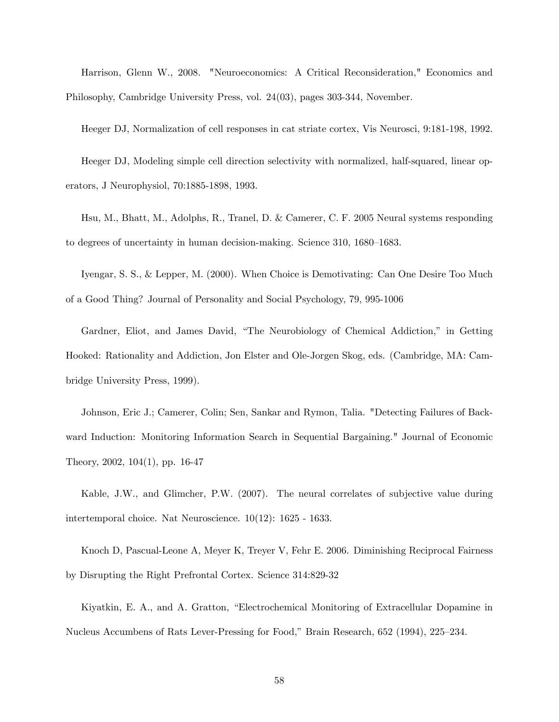Harrison, Glenn W., 2008. "Neuroeconomics: A Critical Reconsideration," Economics and Philosophy, Cambridge University Press, vol. 24(03), pages 303-344, November.

Heeger DJ, Normalization of cell responses in cat striate cortex, Vis Neurosci, 9:181-198, 1992.

Heeger DJ, Modeling simple cell direction selectivity with normalized, half-squared, linear operators, J Neurophysiol, 70:1885-1898, 1993.

Hsu, M., Bhatt, M., Adolphs, R., Tranel, D. & Camerer, C. F. 2005 Neural systems responding to degrees of uncertainty in human decision-making. Science  $310, 1680-1683$ .

Iyengar, S. S., & Lepper, M. (2000). When Choice is Demotivating: Can One Desire Too Much of a Good Thing? Journal of Personality and Social Psychology, 79, 995-1006

Gardner, Eliot, and James David, "The Neurobiology of Chemical Addiction," in Getting Hooked: Rationality and Addiction, Jon Elster and Ole-Jorgen Skog, eds. (Cambridge, MA: Cambridge University Press, 1999).

Johnson, Eric J.; Camerer, Colin; Sen, Sankar and Rymon, Talia. "Detecting Failures of Backward Induction: Monitoring Information Search in Sequential Bargaining." Journal of Economic Theory, 2002, 104(1), pp. 16-47

Kable, J.W., and Glimcher, P.W. (2007). The neural correlates of subjective value during intertemporal choice. Nat Neuroscience. 10(12): 1625 - 1633.

Knoch D, Pascual-Leone A, Meyer K, Treyer V, Fehr E. 2006. Diminishing Reciprocal Fairness by Disrupting the Right Prefrontal Cortex. Science 314:829-32

Kiyatkin, E. A., and A. Gratton, "Electrochemical Monitoring of Extracellular Dopamine in Nucleus Accumbens of Rats Lever-Pressing for Food," Brain Research, 652 (1994), 225–234.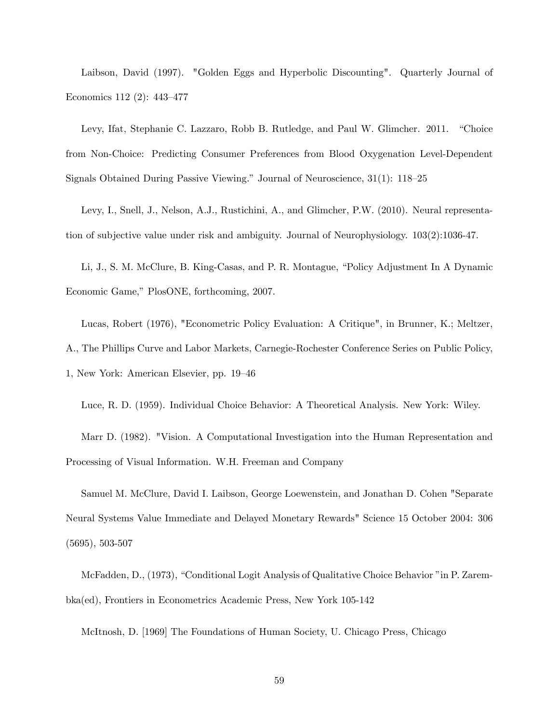Laibson, David (1997). "Golden Eggs and Hyperbolic Discounting". Quarterly Journal of Economics 112 (2):  $443-477$ 

Levy, Ifat, Stephanie C. Lazzaro, Robb B. Rutledge, and Paul W. Glimcher. 2011. "Choice from Non-Choice: Predicting Consumer Preferences from Blood Oxygenation Level-Dependent Signals Obtained During Passive Viewing." Journal of Neuroscience,  $31(1)$ :  $118-25$ 

Levy, I., Snell, J., Nelson, A.J., Rustichini, A., and Glimcher, P.W. (2010). Neural representation of subjective value under risk and ambiguity. Journal of Neurophysiology. 103(2):1036-47.

Li, J., S. M. McClure, B. King-Casas, and P. R. Montague, "Policy Adjustment In A Dynamic Economic Game," PlosONE, forthcoming, 2007.

Lucas, Robert (1976), "Econometric Policy Evaluation: A Critique", in Brunner, K.; Meltzer,

A., The Phillips Curve and Labor Markets, Carnegie-Rochester Conference Series on Public Policy,

1, New York: American Elsevier, pp. 19–46

Luce, R. D. (1959). Individual Choice Behavior: A Theoretical Analysis. New York: Wiley.

Marr D. (1982). "Vision. A Computational Investigation into the Human Representation and Processing of Visual Information. W.H. Freeman and Company

Samuel M. McClure, David I. Laibson, George Loewenstein, and Jonathan D. Cohen "Separate Neural Systems Value Immediate and Delayed Monetary Rewards" Science 15 October 2004: 306 (5695), 503-507

McFadden, D., (1973), "Conditional Logit Analysis of Qualitative Choice Behavior "in P. Zarembka(ed), Frontiers in Econometrics Academic Press, New York 105-142

McItnosh, D. [1969] The Foundations of Human Society, U. Chicago Press, Chicago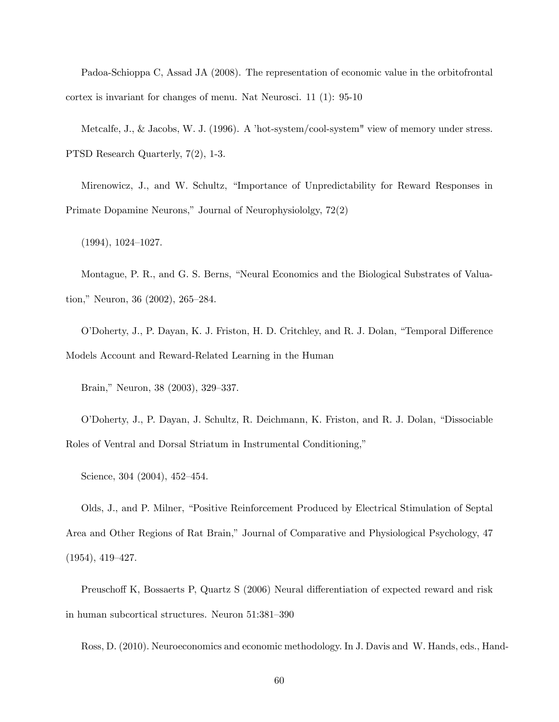Padoa-Schioppa C, Assad JA (2008). The representation of economic value in the orbitofrontal cortex is invariant for changes of menu. Nat Neurosci. 11 (1): 95-10

Metcalfe, J., & Jacobs, W. J. (1996). A íhot-system/cool-system" view of memory under stress. PTSD Research Quarterly, 7(2), 1-3.

Mirenowicz, J., and W. Schultz, "Importance of Unpredictability for Reward Responses in Primate Dopamine Neurons," Journal of Neurophysiololgy, 72(2)

 $(1994), 1024–1027.$ 

Montague, P. R., and G. S. Berns, "Neural Economics and the Biological Substrates of Valuation," Neuron, 36  $(2002)$ , 265–284.

O'Doherty, J., P. Dayan, K. J. Friston, H. D. Critchley, and R. J. Dolan, "Temporal Difference Models Account and Reward-Related Learning in the Human

Brain," Neuron, 38 (2003), 329–337.

O'Doherty, J., P. Dayan, J. Schultz, R. Deichmann, K. Friston, and R. J. Dolan, "Dissociable Roles of Ventral and Dorsal Striatum in Instrumental Conditioning,"

Science, 304 (2004), 452-454.

Olds, J., and P. Milner, "Positive Reinforcement Produced by Electrical Stimulation of Septal Area and Other Regions of Rat Brain," Journal of Comparative and Physiological Psychology, 47  $(1954), 419-427.$ 

Preuschoff K, Bossaerts P, Quartz S (2006) Neural differentiation of expected reward and risk in human subcortical structures. Neuron  $51:381-390$ 

Ross, D. (2010). Neuroeconomics and economic methodology. In J. Davis and W. Hands, eds., Hand-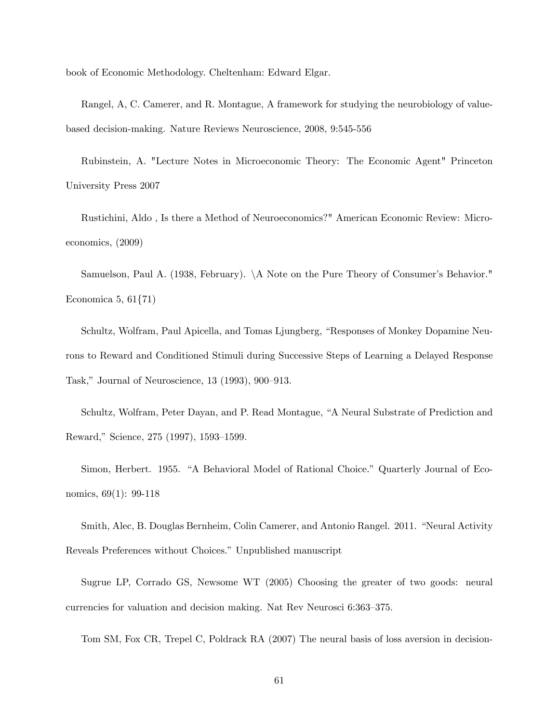book of Economic Methodology. Cheltenham: Edward Elgar.

Rangel, A, C. Camerer, and R. Montague, A framework for studying the neurobiology of valuebased decision-making. Nature Reviews Neuroscience, 2008, 9:545-556

Rubinstein, A. "Lecture Notes in Microeconomic Theory: The Economic Agent" Princeton University Press 2007

Rustichini, Aldo , Is there a Method of Neuroeconomics?" American Economic Review: Microeconomics, (2009)

Samuelson, Paul A. (1938, February).  $\A$  Note on the Pure Theory of Consumer's Behavior." Economica 5, 61{71)

Schultz, Wolfram, Paul Apicella, and Tomas Ljungberg, "Responses of Monkey Dopamine Neurons to Reward and Conditioned Stimuli during Successive Steps of Learning a Delayed Response Task," Journal of Neuroscience,  $13$  (1993), 900–913.

Schultz, Wolfram, Peter Dayan, and P. Read Montague, "A Neural Substrate of Prediction and Reward," Science, 275 (1997), 1593–1599.

Simon, Herbert. 1955. "A Behavioral Model of Rational Choice." Quarterly Journal of Economics, 69(1): 99-118

Smith, Alec, B. Douglas Bernheim, Colin Camerer, and Antonio Rangel. 2011. "Neural Activity Reveals Preferences without Choices." Unpublished manuscript

Sugrue LP, Corrado GS, Newsome WT (2005) Choosing the greater of two goods: neural currencies for valuation and decision making. Nat Rev Neurosci 6:363–375.

Tom SM, Fox CR, Trepel C, Poldrack RA (2007) The neural basis of loss aversion in decision-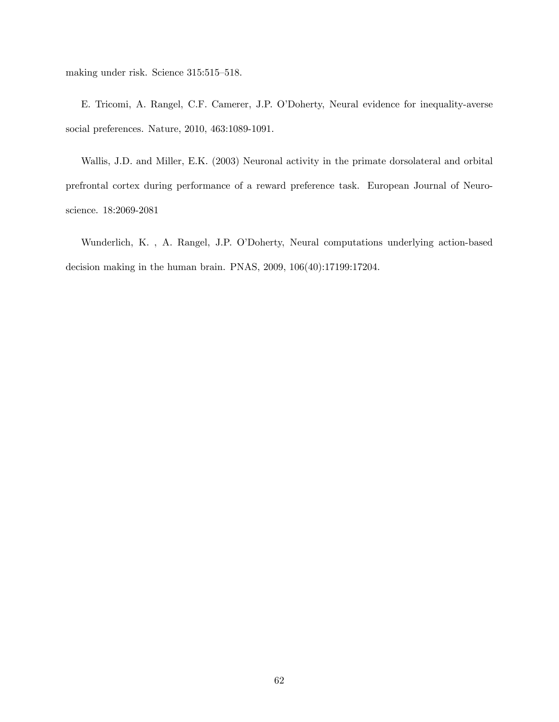making under risk. Science  $315:515-518$ .

E. Tricomi, A. Rangel, C.F. Camerer, J.P. OíDoherty, Neural evidence for inequality-averse social preferences. Nature, 2010, 463:1089-1091.

Wallis, J.D. and Miller, E.K. (2003) Neuronal activity in the primate dorsolateral and orbital prefrontal cortex during performance of a reward preference task. European Journal of Neuroscience. 18:2069-2081

Wunderlich, K., A. Rangel, J.P. O'Doherty, Neural computations underlying action-based decision making in the human brain. PNAS, 2009, 106(40):17199:17204.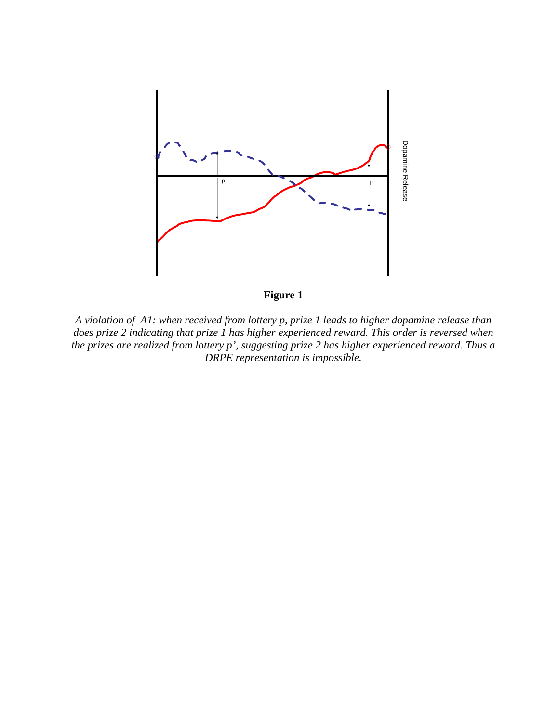

**Figure 1** 

*A violation of A1: when received from lottery p, prize 1 leads to higher dopamine release than does prize 2 indicating that prize 1 has higher experienced reward. This order is reversed when the prizes are realized from lottery p', suggesting prize 2 has higher experienced reward. Thus a DRPE representation is impossible.*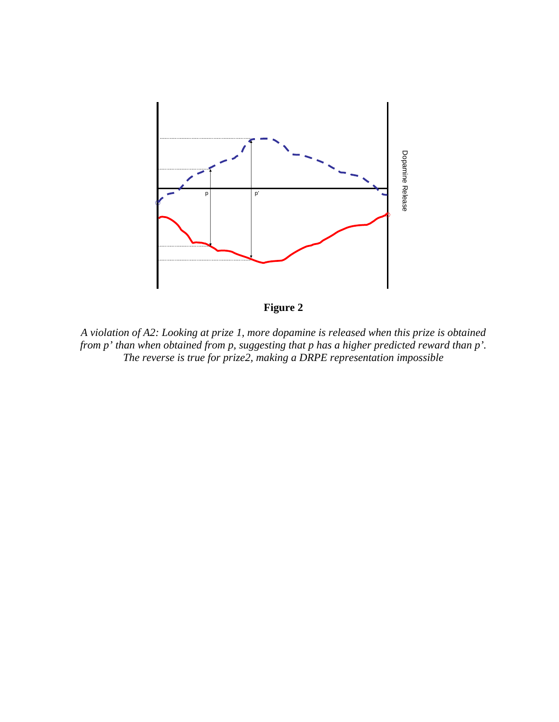

**Figure 2** 

*A violation of A2: Looking at prize 1, more dopamine is released when this prize is obtained from p' than when obtained from p, suggesting that p has a higher predicted reward than p'. The reverse is true for prize2, making a DRPE representation impossible*